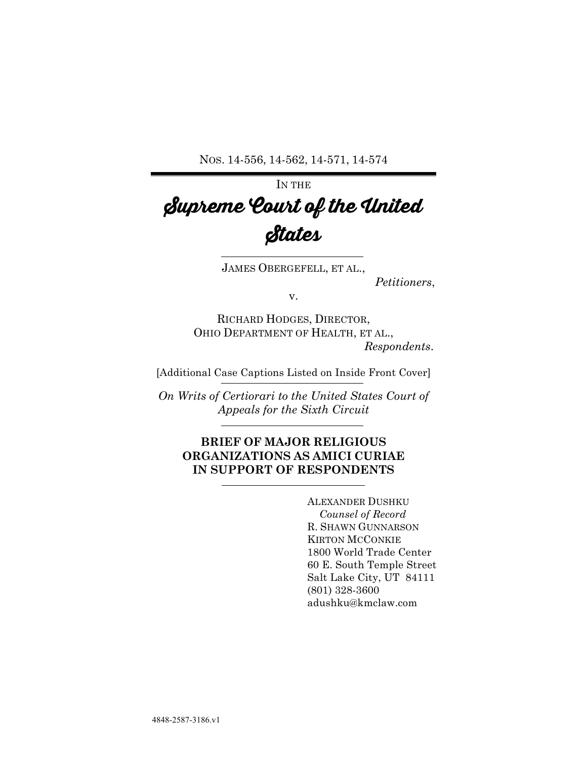NOS. 14-556, 14-562, 14-571, 14-574

# IN THE **Supreme Court of the United States**

JAMES OBERGEFELL, ET AL.,

*Petitioners*,

v.

RICHARD HODGES, DIRECTOR, OHIO DEPARTMENT OF HEALTH, ET AL.,  *Respondents*.

[\[Additional Case Captions Listed on Inside Front](#page-1-0) Cover]

*On Writs of Certiorari to the United States Court of Appeals for the Sixth Circuit*

#### **BRIEF OF MAJOR RELIGIOUS ORGANIZATIONS AS AMICI CURIAE IN SUPPORT OF RESPONDENTS**

ALEXANDER DUSHKU *Counsel of Record* R. SHAWN GUNNARSON KIRTON MCCONKIE 1800 World Trade Center 60 E. South Temple Street Salt Lake City, UT 84111 (801) 328-3600 adushku@kmclaw.com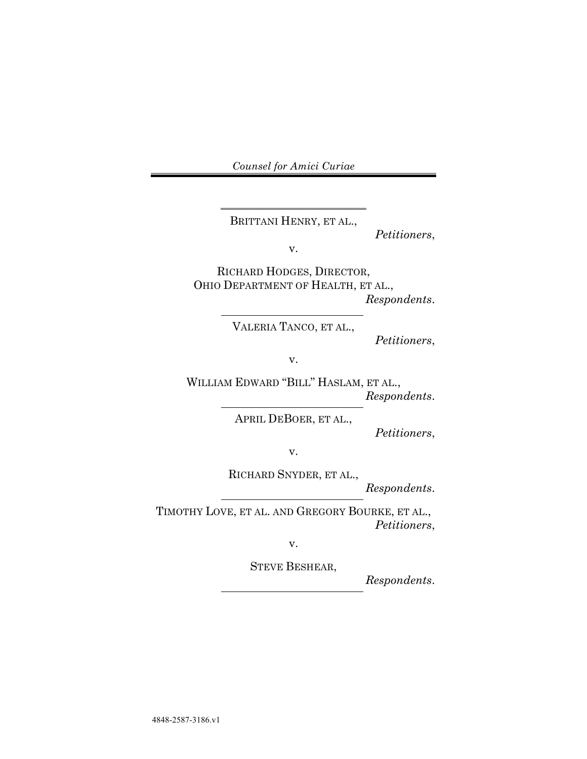<span id="page-1-0"></span>*Counsel for Amici Curiae*

*\_\_\_\_\_\_\_\_\_\_\_\_\_\_\_\_\_\_\_\_\_\_\_\_\_\_\_\_\_\_\_\_\_\_\_\_\_\_* BRITTANI HENRY, ET AL.,

*Petitioners*,

v.

RICHARD HODGES, DIRECTOR, OHIO DEPARTMENT OF HEALTH, ET AL., *Respondents*.

VALERIA TANCO, ET AL.,

*Petitioners*,

v.

WILLIAM EDWARD "BILL" HASLAM, ET AL., *Respondents*.

APRIL DEBOER, ET AL.,

*Petitioners*,

v.

RICHARD SNYDER, ET AL.,

*Respondents*.

TIMOTHY LOVE, ET AL. AND GREGORY BOURKE, ET AL., *Petitioners*,

v.

STEVE BESHEAR,

*Respondents*.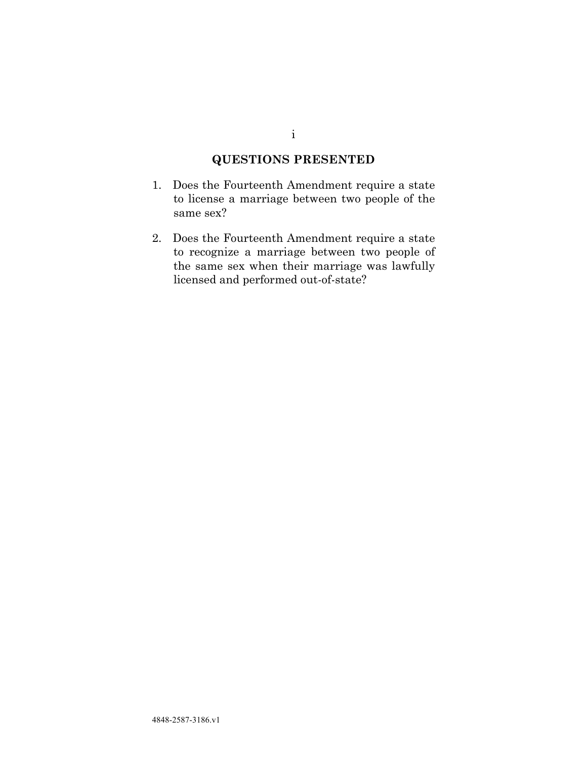## **QUESTIONS PRESENTED**

- <span id="page-2-0"></span>1. Does the Fourteenth Amendment require a state to license a marriage between two people of the same sex?
- 2. Does the Fourteenth Amendment require a state to recognize a marriage between two people of the same sex when their marriage was lawfully licensed and performed out-of-state?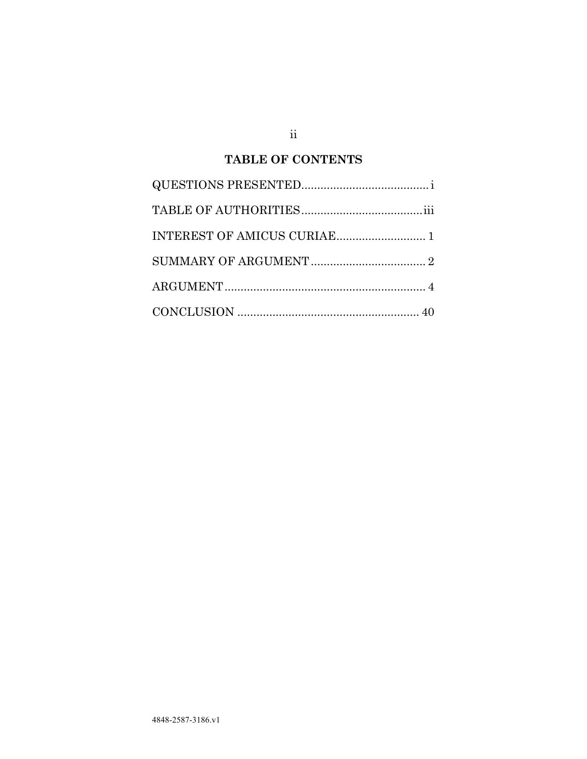# **TABLE OF CONTENTS**

ii

| $CONCLUSION  \dots 40$ |  |
|------------------------|--|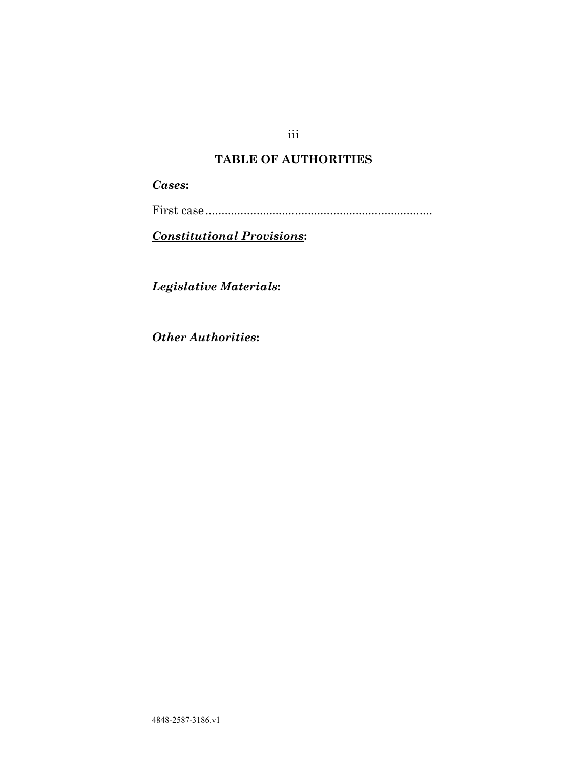iii

# **TABLE OF AUTHORITIES**

<span id="page-4-0"></span>*Cases***:**

First case.......................................................................

*Constitutional Provisions***:**

*Legislative Materials***:**

*Other Authorities***:**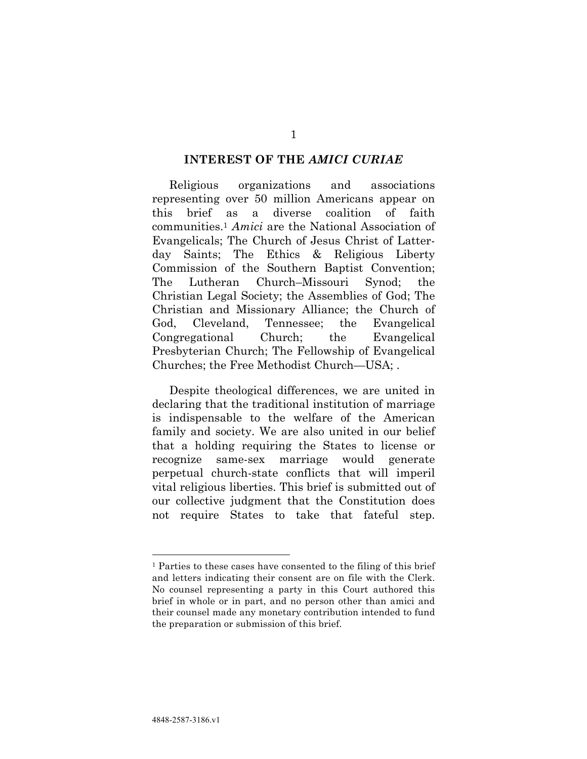#### **INTEREST OF THE** *AMICI CURIAE*

<span id="page-5-0"></span>Religious organizations and associations representing over 50 million Americans appear on this brief as a diverse coalition of faith communities.1 *Amici* are the National Association of Evangelicals; The Church of Jesus Christ of Latterday Saints; The Ethics & Religious Liberty Commission of the Southern Baptist Convention; The Lutheran Church–Missouri Synod; the Christian Legal Society; the Assemblies of God; The Christian and Missionary Alliance; the Church of God, Cleveland, Tennessee; the Evangelical Congregational Church; the Evangelical Presbyterian Church; The Fellowship of Evangelical Churches; the Free Methodist Church—USA; .

Despite theological differences, we are united in declaring that the traditional institution of marriage is indispensable to the welfare of the American family and society. We are also united in our belief that a holding requiring the States to license or recognize same-sex marriage would generate perpetual church-state conflicts that will imperil vital religious liberties. This brief is submitted out of our collective judgment that the Constitution does not require States to take that fateful step.

 <sup>1</sup> Parties to these cases have consented to the filing of this brief and letters indicating their consent are on file with the Clerk. No counsel representing a party in this Court authored this brief in whole or in part, and no person other than amici and their counsel made any monetary contribution intended to fund the preparation or submission of this brief.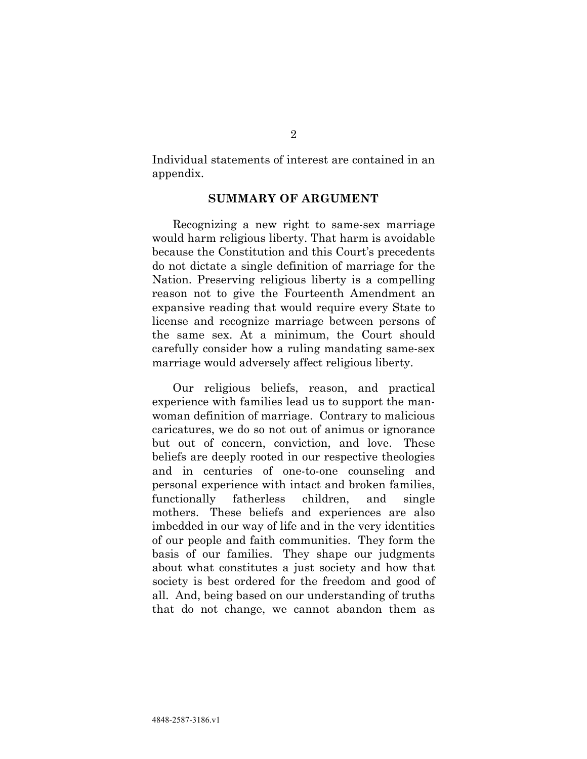<span id="page-6-0"></span>Individual statements of interest are contained in an appendix.

#### **SUMMARY OF ARGUMENT**

Recognizing a new right to same-sex marriage would harm religious liberty. That harm is avoidable because the Constitution and this Court's precedents do not dictate a single definition of marriage for the Nation. Preserving religious liberty is a compelling reason not to give the Fourteenth Amendment an expansive reading that would require every State to license and recognize marriage between persons of the same sex. At a minimum, the Court should carefully consider how a ruling mandating same-sex marriage would adversely affect religious liberty.

Our religious beliefs, reason, and practical experience with families lead us to support the manwoman definition of marriage. Contrary to malicious caricatures, we do so not out of animus or ignorance but out of concern, conviction, and love. These beliefs are deeply rooted in our respective theologies and in centuries of one-to-one counseling and personal experience with intact and broken families, functionally fatherless children, and single mothers. These beliefs and experiences are also imbedded in our way of life and in the very identities of our people and faith communities. They form the basis of our families. They shape our judgments about what constitutes a just society and how that society is best ordered for the freedom and good of all. And, being based on our understanding of truths that do not change, we cannot abandon them as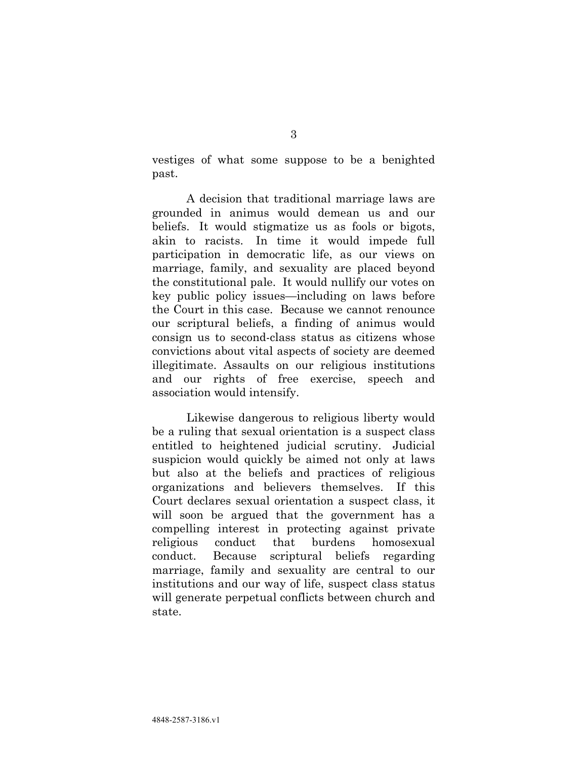vestiges of what some suppose to be a benighted past.

A decision that traditional marriage laws are grounded in animus would demean us and our beliefs. It would stigmatize us as fools or bigots, akin to racists. In time it would impede full participation in democratic life, as our views on marriage, family, and sexuality are placed beyond the constitutional pale. It would nullify our votes on key public policy issues—including on laws before the Court in this case. Because we cannot renounce our scriptural beliefs, a finding of animus would consign us to second-class status as citizens whose convictions about vital aspects of society are deemed illegitimate. Assaults on our religious institutions and our rights of free exercise, speech and association would intensify.

Likewise dangerous to religious liberty would be a ruling that sexual orientation is a suspect class entitled to heightened judicial scrutiny. Judicial suspicion would quickly be aimed not only at laws but also at the beliefs and practices of religious organizations and believers themselves. If this Court declares sexual orientation a suspect class, it will soon be argued that the government has a compelling interest in protecting against private religious conduct that burdens homosexual conduct. Because scriptural beliefs regarding marriage, family and sexuality are central to our institutions and our way of life, suspect class status will generate perpetual conflicts between church and state.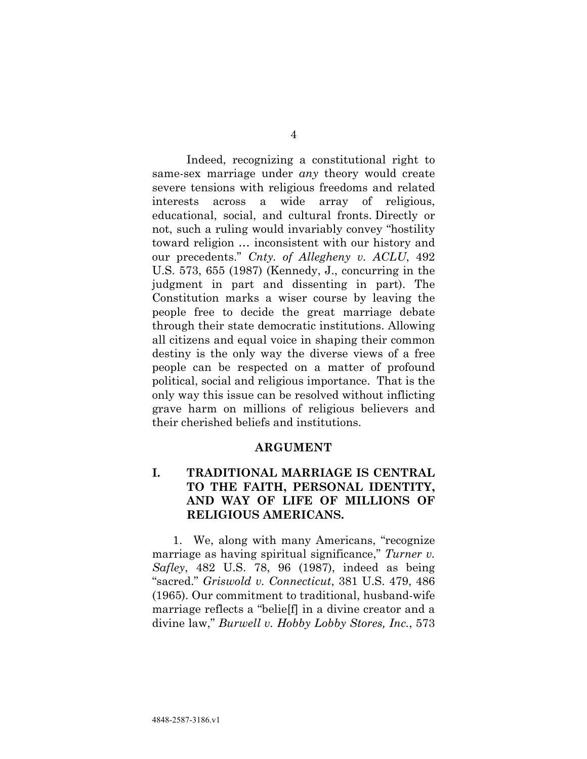<span id="page-8-0"></span>Indeed, recognizing a constitutional right to same-sex marriage under *any* theory would create severe tensions with religious freedoms and related interests across a wide array of religious, educational, social, and cultural fronts. Directly or not, such a ruling would invariably convey "hostility toward religion … inconsistent with our history and our precedents." *Cnty. of Allegheny v. ACLU*, 492 U.S. 573, 655 (1987) (Kennedy, J., concurring in the judgment in part and dissenting in part). The Constitution marks a wiser course by leaving the people free to decide the great marriage debate through their state democratic institutions. Allowing all citizens and equal voice in shaping their common destiny is the only way the diverse views of a free people can be respected on a matter of profound political, social and religious importance. That is the only way this issue can be resolved without inflicting grave harm on millions of religious believers and their cherished beliefs and institutions.

#### **ARGUMENT**

## **I. TRADITIONAL MARRIAGE IS CENTRAL TO THE FAITH, PERSONAL IDENTITY, AND WAY OF LIFE OF MILLIONS OF RELIGIOUS AMERICANS.**

1. We, along with many Americans, "recognize marriage as having spiritual significance," *Turner v. Safley*, 482 U.S. 78, 96 (1987), indeed as being "sacred." *Griswold v. Connecticut*, 381 U.S. 479, 486 (1965). Our commitment to traditional, husband-wife marriage reflects a "belie[f] in a divine creator and a divine law," *Burwell v. Hobby Lobby Stores, Inc.*, 573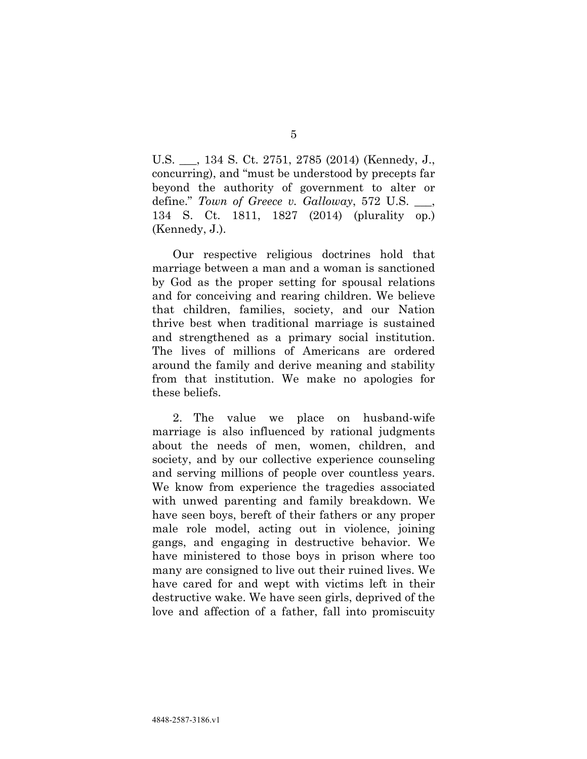U.S. \_\_\_, 134 S. Ct. 2751, 2785 (2014) (Kennedy, J., concurring), and "must be understood by precepts far beyond the authority of government to alter or define." *Town of Greece v. Galloway*, 572 U.S. \_\_\_, 134 S. Ct. 1811, 1827 (2014) (plurality op.) (Kennedy, J.).

Our respective religious doctrines hold that marriage between a man and a woman is sanctioned by God as the proper setting for spousal relations and for conceiving and rearing children. We believe that children, families, society, and our Nation thrive best when traditional marriage is sustained and strengthened as a primary social institution. The lives of millions of Americans are ordered around the family and derive meaning and stability from that institution. We make no apologies for these beliefs.

2. The value we place on husband-wife marriage is also influenced by rational judgments about the needs of men, women, children, and society, and by our collective experience counseling and serving millions of people over countless years. We know from experience the tragedies associated with unwed parenting and family breakdown. We have seen boys, bereft of their fathers or any proper male role model, acting out in violence, joining gangs, and engaging in destructive behavior. We have ministered to those boys in prison where too many are consigned to live out their ruined lives. We have cared for and wept with victims left in their destructive wake. We have seen girls, deprived of the love and affection of a father, fall into promiscuity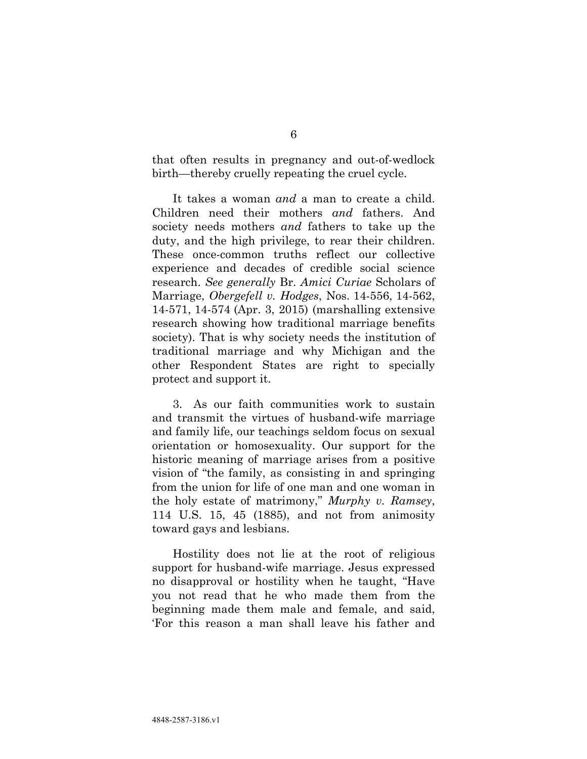that often results in pregnancy and out-of-wedlock birth—thereby cruelly repeating the cruel cycle.

It takes a woman *and* a man to create a child. Children need their mothers *and* fathers. And society needs mothers *and* fathers to take up the duty, and the high privilege, to rear their children. These once-common truths reflect our collective experience and decades of credible social science research. *See generally* Br. *Amici Curiae* Scholars of Marriage, *Obergefell v. Hodges*, Nos. 14-556, 14-562, 14-571, 14-574 (Apr. 3, 2015) (marshalling extensive research showing how traditional marriage benefits society). That is why society needs the institution of traditional marriage and why Michigan and the other Respondent States are right to specially protect and support it.

3. As our faith communities work to sustain and transmit the virtues of husband-wife marriage and family life, our teachings seldom focus on sexual orientation or homosexuality. Our support for the historic meaning of marriage arises from a positive vision of "the family, as consisting in and springing from the union for life of one man and one woman in the holy estate of matrimony," *Murphy v. Ramsey*, 114 U.S. 15, 45 (1885), and not from animosity toward gays and lesbians.

Hostility does not lie at the root of religious support for husband-wife marriage. Jesus expressed no disapproval or hostility when he taught, "Have you not read that he who made them from the beginning made them male and female, and said, 'For this reason a man shall leave his father and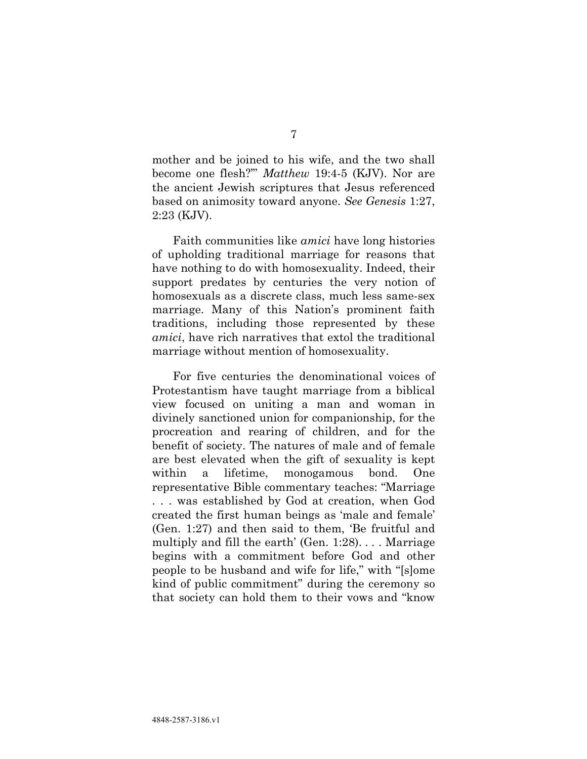mother and be joined to his wife, and the two shall become one flesh?'" *Matthew* 19:4-5 (KJV). Nor are the ancient Jewish scriptures that Jesus referenced based on animosity toward anyone. *See Genesis* 1:27, 2:23 (KJV).

Faith communities like *amici* have long histories of upholding traditional marriage for reasons that have nothing to do with homosexuality. Indeed, their support predates by centuries the very notion of homosexuals as a discrete class, much less same-sex marriage. Many of this Nation's prominent faith traditions, including those represented by these *amici*, have rich narratives that extol the traditional marriage without mention of homosexuality.

For five centuries the denominational voices of Protestantism have taught marriage from a biblical view focused on uniting a man and woman in divinely sanctioned union for companionship, for the procreation and rearing of children, and for the benefit of society. The natures of male and of female are best elevated when the gift of sexuality is kept within a lifetime, monogamous bond. One representative Bible commentary teaches: "Marriage . . . was established by God at creation, when God created the first human beings as 'male and female' (Gen. 1:27) and then said to them, 'Be fruitful and multiply and fill the earth' (Gen. 1:28). . . . Marriage begins with a commitment before God and other people to be husband and wife for life," with "[s]ome kind of public commitment" during the ceremony so that society can hold them to their vows and "know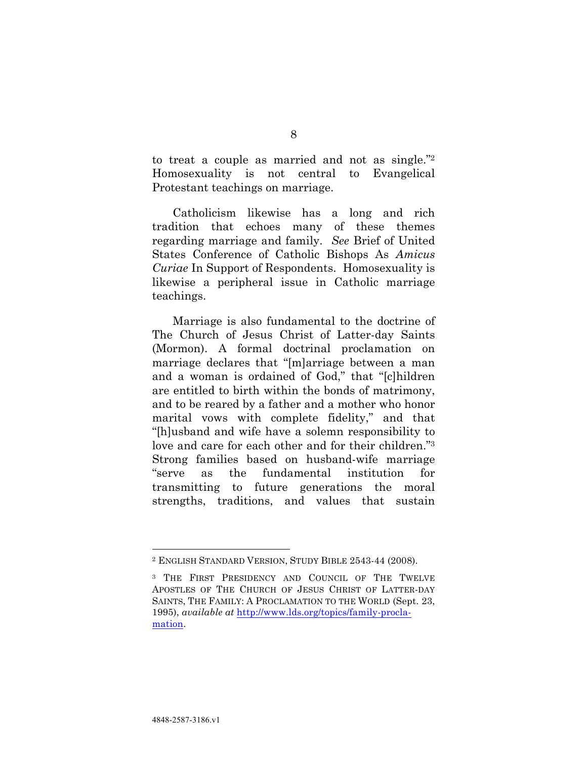to treat a couple as married and not as single."2 Homosexuality is not central to Evangelical Protestant teachings on marriage.

Catholicism likewise has a long and rich tradition that echoes many of these themes regarding marriage and family. *See* Brief of United States Conference of Catholic Bishops As *Amicus Curiae* In Support of Respondents. Homosexuality is likewise a peripheral issue in Catholic marriage teachings.

Marriage is also fundamental to the doctrine of The Church of Jesus Christ of Latter-day Saints (Mormon). A formal doctrinal proclamation on marriage declares that "[m]arriage between a man and a woman is ordained of God," that "[c]hildren are entitled to birth within the bonds of matrimony, and to be reared by a father and a mother who honor marital vows with complete fidelity," and that "[h]usband and wife have a solemn responsibility to love and care for each other and for their children."3 Strong families based on husband-wife marriage "serve as the fundamental institution for transmitting to future generations the moral strengths, traditions, and values that sustain

 <sup>2</sup> ENGLISH STANDARD VERSION, STUDY BIBLE 2543-44 (2008).

<sup>3</sup> THE FIRST PRESIDENCY AND COUNCIL OF THE TWELVE APOSTLES OF THE CHURCH OF JESUS CHRIST OF LATTER-DAY SAINTS, THE FAMILY: A PROCLAMATION TO THE WORLD (Sept. 23, 1995), *available at* http://www.lds.org/topics/family-proclamation.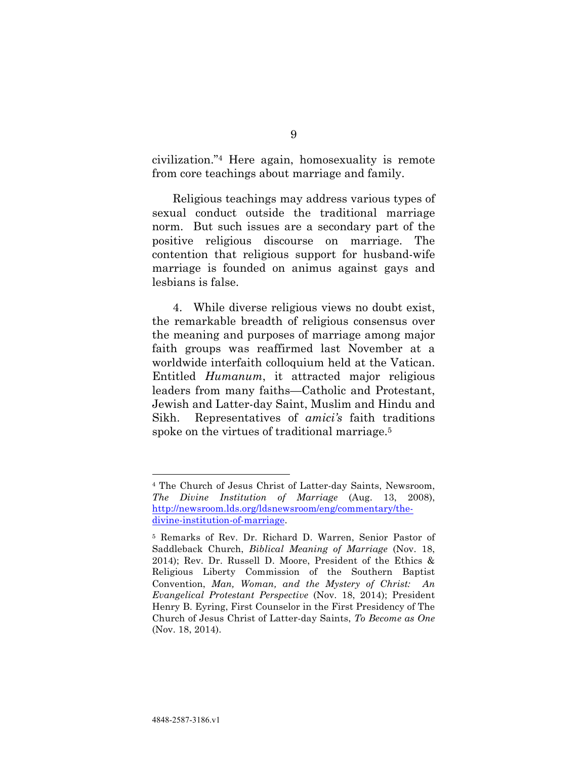civilization."4 Here again, homosexuality is remote from core teachings about marriage and family.

Religious teachings may address various types of sexual conduct outside the traditional marriage norm. But such issues are a secondary part of the positive religious discourse on marriage. The contention that religious support for husband-wife marriage is founded on animus against gays and lesbians is false.

4. While diverse religious views no doubt exist, the remarkable breadth of religious consensus over the meaning and purposes of marriage among major faith groups was reaffirmed last November at a worldwide interfaith colloquium held at the Vatican. Entitled *Humanum*, it attracted major religious leaders from many faiths—Catholic and Protestant, Jewish and Latter-day Saint, Muslim and Hindu and Sikh. Representatives of *amici's* faith traditions spoke on the virtues of traditional marriage.<sup>5</sup>

 <sup>4</sup> The Church of Jesus Christ of Latter-day Saints, Newsroom, *The Divine Institution of Marriage* (Aug. 13, 2008), http://newsroom.lds.org/ldsnewsroom/eng/commentary/thedivine-institution-of-marriage.

<sup>5</sup> Remarks of Rev. Dr. Richard D. Warren, Senior Pastor of Saddleback Church, *Biblical Meaning of Marriage* (Nov. 18, 2014); Rev. Dr. Russell D. Moore, President of the Ethics & Religious Liberty Commission of the Southern Baptist Convention, *Man, Woman, and the Mystery of Christ: An Evangelical Protestant Perspective* (Nov. 18, 2014); President Henry B. Eyring, First Counselor in the First Presidency of The Church of Jesus Christ of Latter-day Saints, *To Become as One* (Nov. 18, 2014).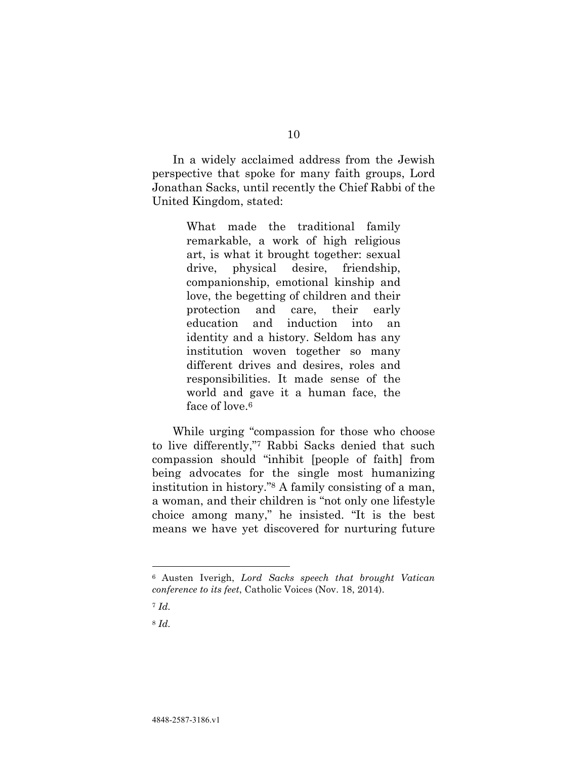In a widely acclaimed address from the Jewish perspective that spoke for many faith groups, Lord Jonathan Sacks, until recently the Chief Rabbi of the United Kingdom, stated:

> What made the traditional family remarkable, a work of high religious art, is what it brought together: sexual drive, physical desire, friendship, companionship, emotional kinship and love, the begetting of children and their protection and care, their early education and induction into an identity and a history. Seldom has any institution woven together so many different drives and desires, roles and responsibilities. It made sense of the world and gave it a human face, the face of love.<sup>6</sup>

While urging "compassion for those who choose to live differently,"7 Rabbi Sacks denied that such compassion should "inhibit [people of faith] from being advocates for the single most humanizing institution in history."8 A family consisting of a man, a woman, and their children is "not only one lifestyle choice among many," he insisted. "It is the best means we have yet discovered for nurturing future

 <sup>6</sup> Austen Iverigh, *Lord Sacks speech that brought Vatican conference to its feet*, Catholic Voices (Nov. 18, 2014).

<sup>7</sup> *Id.*

<sup>8</sup> *Id.*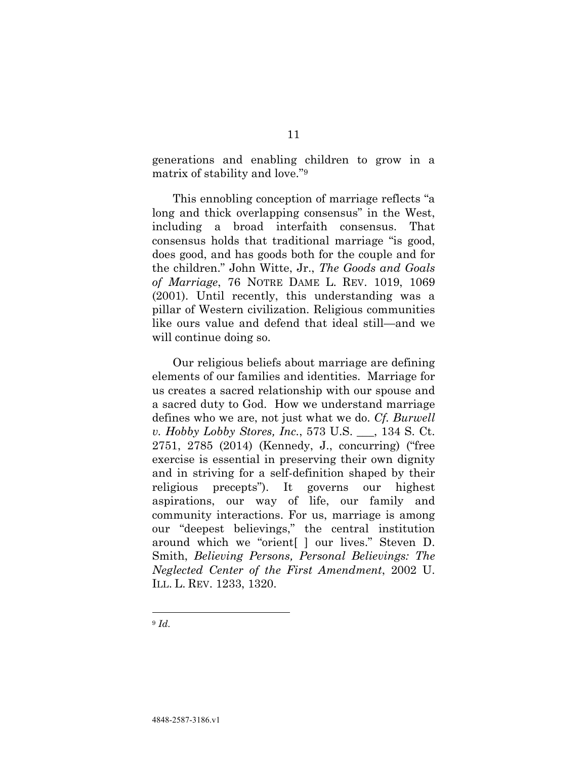generations and enabling children to grow in a matrix of stability and love."9

This ennobling conception of marriage reflects "a long and thick overlapping consensus" in the West, including a broad interfaith consensus. That consensus holds that traditional marriage "is good, does good, and has goods both for the couple and for the children." John Witte, Jr., *The Goods and Goals of Marriage*, 76 NOTRE DAME L. REV. 1019, 1069 (2001). Until recently, this understanding was a pillar of Western civilization. Religious communities like ours value and defend that ideal still—and we will continue doing so.

Our religious beliefs about marriage are defining elements of our families and identities. Marriage for us creates a sacred relationship with our spouse and a sacred duty to God. How we understand marriage defines who we are, not just what we do. *Cf. Burwell v. Hobby Lobby Stores, Inc.*, 573 U.S. \_\_\_, 134 S. Ct. 2751, 2785 (2014) (Kennedy, J., concurring) ("free exercise is essential in preserving their own dignity and in striving for a self-definition shaped by their religious precepts"). It governs our highest aspirations, our way of life, our family and community interactions. For us, marriage is among our "deepest believings," the central institution around which we "orient[ ] our lives." Steven D. Smith, *Believing Persons, Personal Believings: The Neglected Center of the First Amendment*, 2002 U. ILL. L. REV. 1233, 1320.

9 *Id.*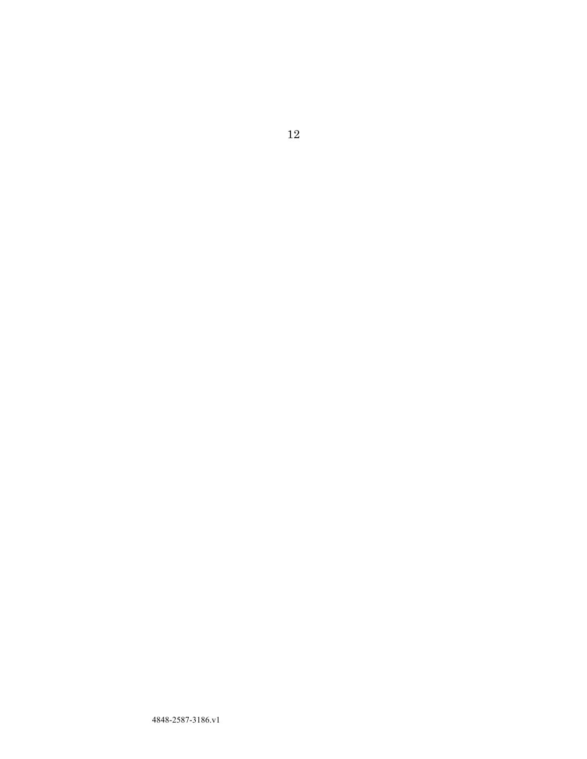12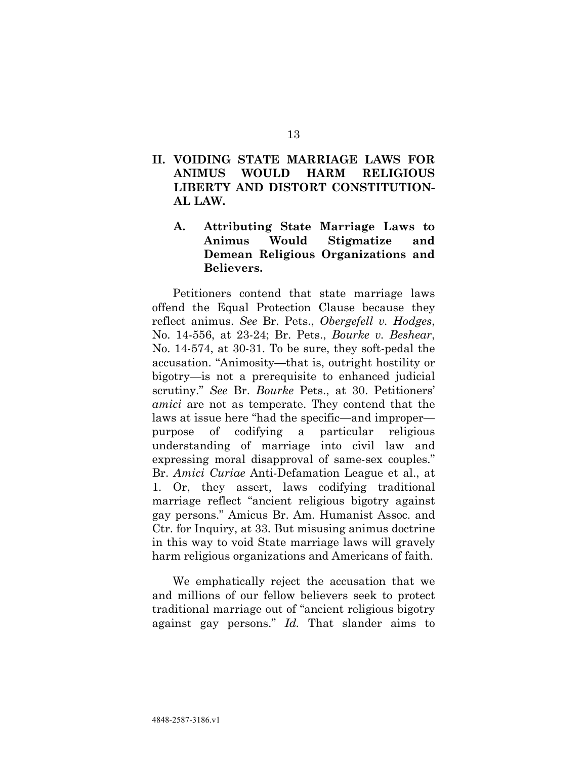#### **II. VOIDING STATE MARRIAGE LAWS FOR ANIMUS WOULD HARM RELIGIOUS LIBERTY AND DISTORT CONSTITUTION-AL LAW.**

## **A. Attributing State Marriage Laws to Animus Would Stigmatize and Demean Religious Organizations and Believers.**

Petitioners contend that state marriage laws offend the Equal Protection Clause because they reflect animus. *See* Br. Pets., *Obergefell v. Hodges*, No. 14-556, at 23-24; Br. Pets., *Bourke v. Beshear*, No. 14-574, at 30-31. To be sure, they soft-pedal the accusation. "Animosity—that is, outright hostility or bigotry—is not a prerequisite to enhanced judicial scrutiny." *See* Br. *Bourke* Pets., at 30. Petitioners' *amici* are not as temperate. They contend that the laws at issue here "had the specific—and improper purpose of codifying a particular religious understanding of marriage into civil law and expressing moral disapproval of same-sex couples." Br. *Amici Curiae* Anti-Defamation League et al., at 1. Or, they assert, laws codifying traditional marriage reflect "ancient religious bigotry against gay persons." Amicus Br. Am. Humanist Assoc. and Ctr. for Inquiry, at 33. But misusing animus doctrine in this way to void State marriage laws will gravely harm religious organizations and Americans of faith.

We emphatically reject the accusation that we and millions of our fellow believers seek to protect traditional marriage out of "ancient religious bigotry against gay persons." *Id.* That slander aims to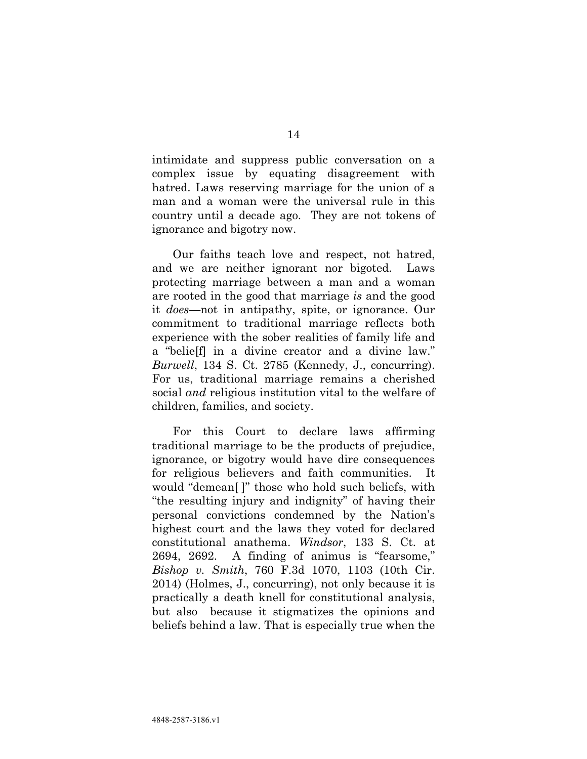intimidate and suppress public conversation on a complex issue by equating disagreement with hatred. Laws reserving marriage for the union of a man and a woman were the universal rule in this country until a decade ago. They are not tokens of ignorance and bigotry now.

Our faiths teach love and respect, not hatred, and we are neither ignorant nor bigoted. Laws protecting marriage between a man and a woman are rooted in the good that marriage *is* and the good it *does*—not in antipathy, spite, or ignorance. Our commitment to traditional marriage reflects both experience with the sober realities of family life and a "belie[f] in a divine creator and a divine law." *Burwell*, 134 S. Ct. 2785 (Kennedy, J., concurring). For us, traditional marriage remains a cherished social *and* religious institution vital to the welfare of children, families, and society.

For this Court to declare laws affirming traditional marriage to be the products of prejudice, ignorance, or bigotry would have dire consequences for religious believers and faith communities. It would "demean[ ]" those who hold such beliefs, with "the resulting injury and indignity" of having their personal convictions condemned by the Nation's highest court and the laws they voted for declared constitutional anathema. *Windsor*, 133 S. Ct. at 2694, 2692. A finding of animus is "fearsome," *Bishop v. Smith*, 760 F.3d 1070, 1103 (10th Cir. 2014) (Holmes, J., concurring), not only because it is practically a death knell for constitutional analysis, but also because it stigmatizes the opinions and beliefs behind a law. That is especially true when the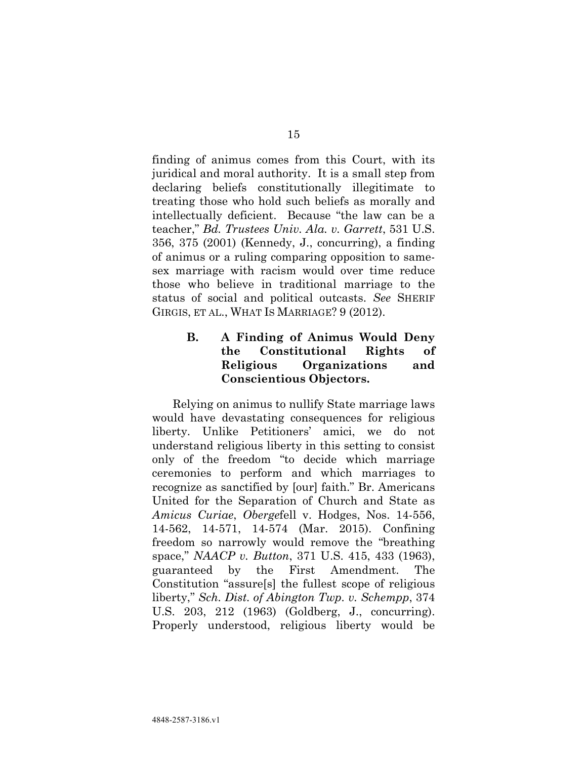finding of animus comes from this Court, with its juridical and moral authority. It is a small step from declaring beliefs constitutionally illegitimate to treating those who hold such beliefs as morally and intellectually deficient. Because "the law can be a teacher," *Bd. Trustees Univ. Ala. v. Garrett*, 531 U.S. 356, 375 (2001) (Kennedy, J., concurring), a finding of animus or a ruling comparing opposition to samesex marriage with racism would over time reduce those who believe in traditional marriage to the status of social and political outcasts. *See* SHERIF GIRGIS, ET AL., WHAT IS MARRIAGE? 9 (2012).

## **B. A Finding of Animus Would Deny the Constitutional Rights of Religious Organizations and Conscientious Objectors.**

Relying on animus to nullify State marriage laws would have devastating consequences for religious liberty. Unlike Petitioners' amici, we do not understand religious liberty in this setting to consist only of the freedom "to decide which marriage ceremonies to perform and which marriages to recognize as sanctified by [our] faith." Br. Americans United for the Separation of Church and State as *Amicus Curiae*, *Oberge*fell v. Hodges, Nos. 14-556, 14-562, 14-571, 14-574 (Mar. 2015). Confining freedom so narrowly would remove the "breathing space," *NAACP v. Button*, 371 U.S. 415, 433 (1963), guaranteed by the First Amendment. The Constitution "assure[s] the fullest scope of religious liberty," *Sch. Dist. of Abington Twp. v. Schempp*, 374 U.S. 203, 212 (1963) (Goldberg, J., concurring). Properly understood, religious liberty would be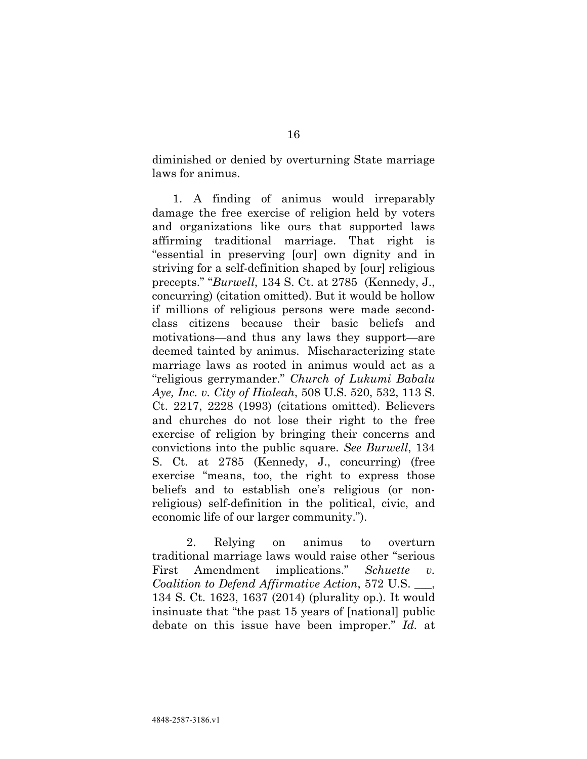diminished or denied by overturning State marriage laws for animus.

1. A finding of animus would irreparably damage the free exercise of religion held by voters and organizations like ours that supported laws affirming traditional marriage. That right is "essential in preserving [our] own dignity and in striving for a self-definition shaped by [our] religious precepts." "*Burwell*, 134 S. Ct. at 2785 (Kennedy, J., concurring) (citation omitted). But it would be hollow if millions of religious persons were made secondclass citizens because their basic beliefs and motivations—and thus any laws they support—are deemed tainted by animus. Mischaracterizing state marriage laws as rooted in animus would act as a "religious gerrymander." *Church of Lukumi Babalu Aye, Inc. v. City of Hialeah*, 508 U.S. 520, 532, 113 S. Ct. 2217, 2228 (1993) (citations omitted). Believers and churches do not lose their right to the free exercise of religion by bringing their concerns and convictions into the public square. *See Burwell*, 134 S. Ct. at 2785 (Kennedy, J., concurring) (free exercise "means, too, the right to express those beliefs and to establish one's religious (or nonreligious) self-definition in the political, civic, and economic life of our larger community.").

2. Relying on animus to overturn traditional marriage laws would raise other "serious First Amendment implications." *Schuette v. Coalition to Defend Affirmative Action*, 572 U.S. \_\_\_, 134 S. Ct. 1623, 1637 (2014) (plurality op.). It would insinuate that "the past 15 years of [national] public debate on this issue have been improper." *Id.* at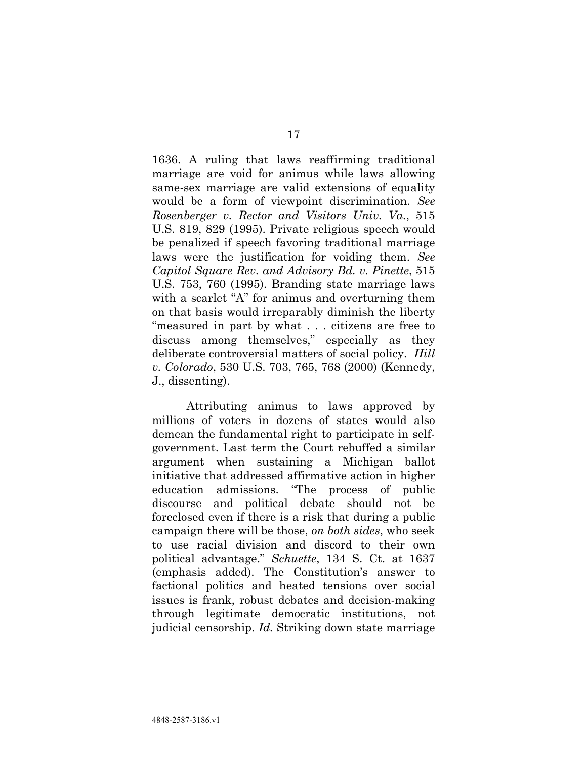1636. A ruling that laws reaffirming traditional marriage are void for animus while laws allowing same-sex marriage are valid extensions of equality would be a form of viewpoint discrimination. *See Rosenberger v. Rector and Visitors Univ. Va.*, 515 U.S. 819, 829 (1995). Private religious speech would be penalized if speech favoring traditional marriage laws were the justification for voiding them. *See Capitol Square Rev. and Advisory Bd. v. Pinette*, 515 U.S. 753, 760 (1995). Branding state marriage laws with a scarlet "A" for animus and overturning them on that basis would irreparably diminish the liberty "measured in part by what . . . citizens are free to discuss among themselves," especially as they deliberate controversial matters of social policy. *Hill v. Colorado*, 530 U.S. 703, 765, 768 (2000) (Kennedy, J., dissenting).

Attributing animus to laws approved by millions of voters in dozens of states would also demean the fundamental right to participate in selfgovernment. Last term the Court rebuffed a similar argument when sustaining a Michigan ballot initiative that addressed affirmative action in higher education admissions. "The process of public discourse and political debate should not be foreclosed even if there is a risk that during a public campaign there will be those, *on both sides*, who seek to use racial division and discord to their own political advantage." *Schuette*, 134 S. Ct. at 1637 (emphasis added). The Constitution's answer to factional politics and heated tensions over social issues is frank, robust debates and decision-making through legitimate democratic institutions, not judicial censorship. *Id.* Striking down state marriage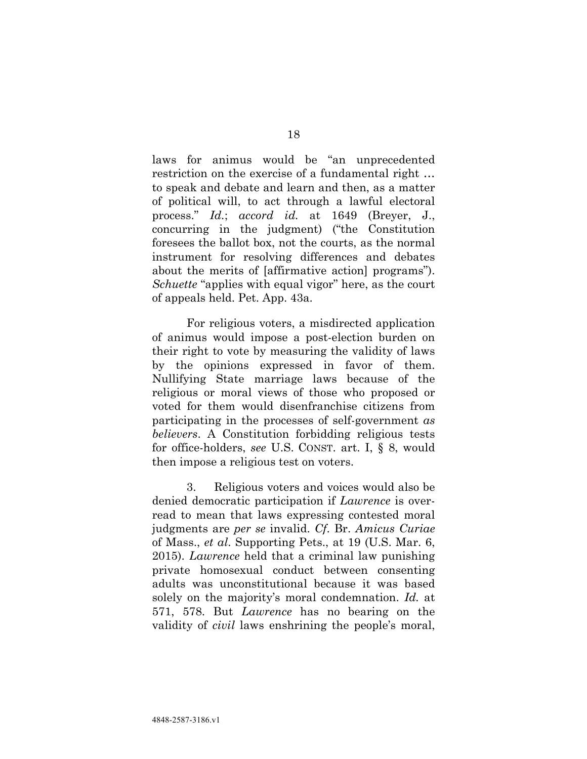laws for animus would be "an unprecedented restriction on the exercise of a fundamental right … to speak and debate and learn and then, as a matter of political will, to act through a lawful electoral process." *Id.*; *accord id.* at 1649 (Breyer, J., concurring in the judgment) ("the Constitution foresees the ballot box, not the courts, as the normal instrument for resolving differences and debates about the merits of [affirmative action] programs"). *Schuette* "applies with equal vigor" here, as the court of appeals held. Pet. App. 43a.

For religious voters, a misdirected application of animus would impose a post-election burden on their right to vote by measuring the validity of laws by the opinions expressed in favor of them. Nullifying State marriage laws because of the religious or moral views of those who proposed or voted for them would disenfranchise citizens from participating in the processes of self-government *as believers*. A Constitution forbidding religious tests for office-holders, *see* U.S. CONST. art. I, § 8, would then impose a religious test on voters.

3. Religious voters and voices would also be denied democratic participation if *Lawrence* is overread to mean that laws expressing contested moral judgments are *per se* invalid. *Cf*. Br. *Amicus Curiae* of Mass., *et al*. Supporting Pets., at 19 (U.S. Mar. 6, 2015). *Lawrence* held that a criminal law punishing private homosexual conduct between consenting adults was unconstitutional because it was based solely on the majority's moral condemnation. *Id.* at 571, 578. But *Lawrence* has no bearing on the validity of *civil* laws enshrining the people's moral,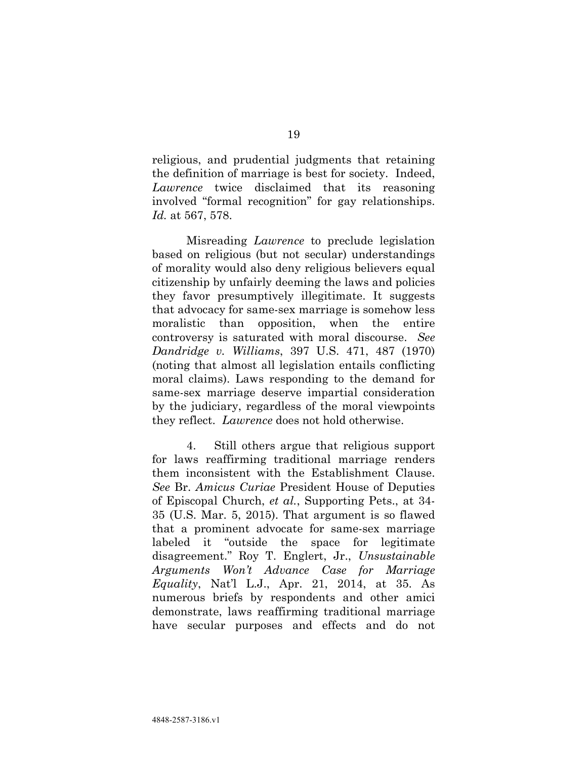religious, and prudential judgments that retaining the definition of marriage is best for society. Indeed, *Lawrence* twice disclaimed that its reasoning involved "formal recognition" for gay relationships. *Id.* at 567, 578.

Misreading *Lawrence* to preclude legislation based on religious (but not secular) understandings of morality would also deny religious believers equal citizenship by unfairly deeming the laws and policies they favor presumptively illegitimate. It suggests that advocacy for same-sex marriage is somehow less moralistic than opposition, when the entire controversy is saturated with moral discourse. *See Dandridge v. Williams*, 397 U.S. 471, 487 (1970) (noting that almost all legislation entails conflicting moral claims). Laws responding to the demand for same-sex marriage deserve impartial consideration by the judiciary, regardless of the moral viewpoints they reflect. *Lawrence* does not hold otherwise.

4. Still others argue that religious support for laws reaffirming traditional marriage renders them inconsistent with the Establishment Clause. *See* Br. *Amicus Curiae* President House of Deputies of Episcopal Church, *et al.*, Supporting Pets., at 34- 35 (U.S. Mar. 5, 2015). That argument is so flawed that a prominent advocate for same-sex marriage labeled it "outside the space for legitimate disagreement." Roy T. Englert, Jr., *Unsustainable Arguments Won't Advance Case for Marriage Equality*, Nat'l L.J., Apr. 21, 2014, at 35. As numerous briefs by respondents and other amici demonstrate, laws reaffirming traditional marriage have secular purposes and effects and do not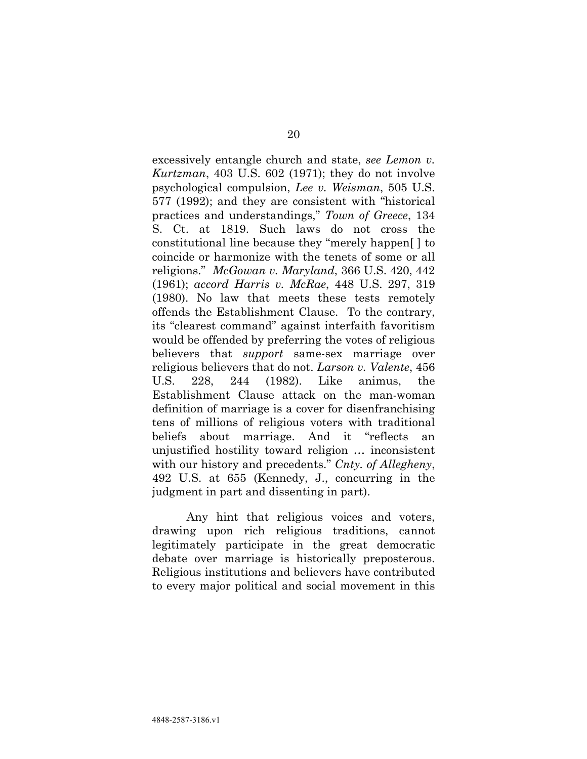excessively entangle church and state, *see Lemon v. Kurtzman*, 403 U.S. 602 (1971); they do not involve psychological compulsion, *Lee v. Weisman*, 505 U.S. 577 (1992); and they are consistent with "historical practices and understandings," *Town of Greece*, 134 S. Ct. at 1819. Such laws do not cross the constitutional line because they "merely happen[ ] to coincide or harmonize with the tenets of some or all religions." *McGowan v. Maryland*, 366 U.S. 420, 442 (1961); *accord Harris v. McRae*, 448 U.S. 297, 319 (1980). No law that meets these tests remotely offends the Establishment Clause. To the contrary, its "clearest command" against interfaith favoritism would be offended by preferring the votes of religious believers that *support* same-sex marriage over religious believers that do not. *Larson v. Valente*, 456 U.S. 228, 244 (1982). Like animus, the Establishment Clause attack on the man-woman definition of marriage is a cover for disenfranchising tens of millions of religious voters with traditional beliefs about marriage. And it "reflects an unjustified hostility toward religion … inconsistent with our history and precedents." *Cnty. of Allegheny*, 492 U.S. at 655 (Kennedy, J., concurring in the judgment in part and dissenting in part).

Any hint that religious voices and voters, drawing upon rich religious traditions, cannot legitimately participate in the great democratic debate over marriage is historically preposterous. Religious institutions and believers have contributed to every major political and social movement in this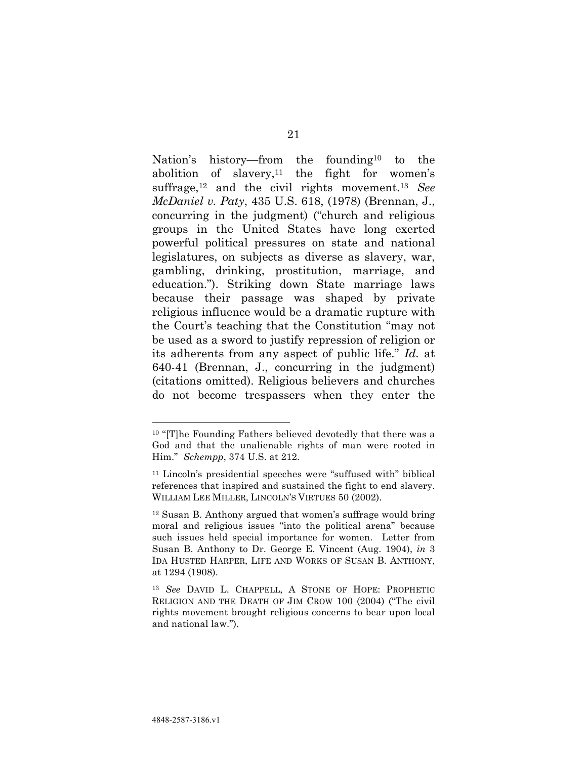Nation's history—from the founding<sup>10</sup> to the abolition of slavery,<sup>11</sup> the fight for women's suffrage,12 and the civil rights movement.13 *See McDaniel v. Paty*, 435 U.S. 618, (1978) (Brennan, J., concurring in the judgment) ("church and religious groups in the United States have long exerted powerful political pressures on state and national legislatures, on subjects as diverse as slavery, war, gambling, drinking, prostitution, marriage, and education."). Striking down State marriage laws because their passage was shaped by private religious influence would be a dramatic rupture with the Court's teaching that the Constitution "may not be used as a sword to justify repression of religion or its adherents from any aspect of public life." *Id.* at 640-41 (Brennan, J., concurring in the judgment) (citations omitted). Religious believers and churches do not become trespassers when they enter the

 <sup>10</sup> "[T]he Founding Fathers believed devotedly that there was a God and that the unalienable rights of man were rooted in Him." *Schempp*, 374 U.S. at 212.

<sup>11</sup> Lincoln's presidential speeches were "suffused with" biblical references that inspired and sustained the fight to end slavery. WILLIAM LEE MILLER, LINCOLN'S VIRTUES 50 (2002).

<sup>12</sup> Susan B. Anthony argued that women's suffrage would bring moral and religious issues "into the political arena" because such issues held special importance for women. Letter from Susan B. Anthony to Dr. George E. Vincent (Aug. 1904), *in* 3 IDA HUSTED HARPER, LIFE AND WORKS OF SUSAN B. ANTHONY, at 1294 (1908).

<sup>13</sup> *See* DAVID L. CHAPPELL, A STONE OF HOPE: PROPHETIC RELIGION AND THE DEATH OF JIM CROW 100 (2004) ("The civil rights movement brought religious concerns to bear upon local and national law.").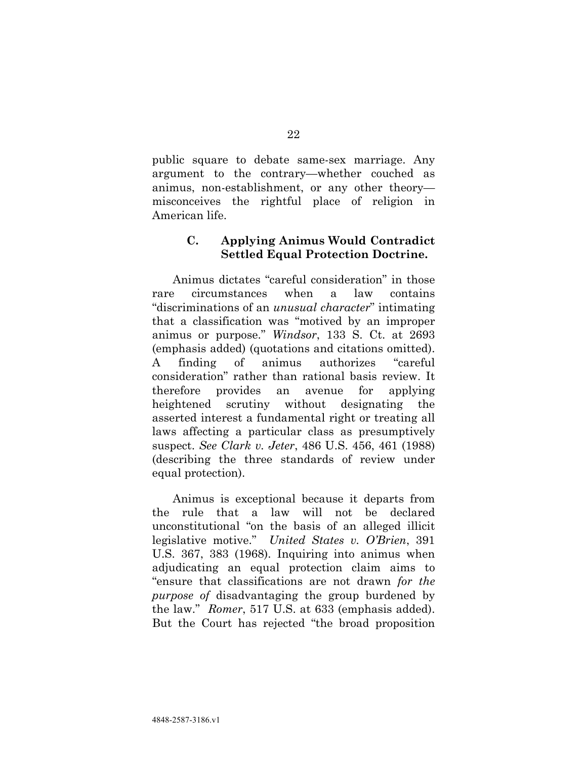public square to debate same-sex marriage. Any argument to the contrary—whether couched as animus, non-establishment, or any other theory misconceives the rightful place of religion in American life.

#### **C. Applying Animus Would Contradict Settled Equal Protection Doctrine.**

Animus dictates "careful consideration" in those rare circumstances when a law contains "discriminations of an *unusual character*" intimating that a classification was "motived by an improper animus or purpose." *Windsor*, 133 S. Ct. at 2693 (emphasis added) (quotations and citations omitted). A finding of animus authorizes "careful consideration" rather than rational basis review. It therefore provides an avenue for applying heightened scrutiny without designating the asserted interest a fundamental right or treating all laws affecting a particular class as presumptively suspect. *See Clark v. Jeter*, 486 U.S. 456, 461 (1988) (describing the three standards of review under equal protection).

Animus is exceptional because it departs from the rule that a law will not be declared unconstitutional "on the basis of an alleged illicit legislative motive." *United States v. O'Brien*, 391 U.S. 367, 383 (1968). Inquiring into animus when adjudicating an equal protection claim aims to "ensure that classifications are not drawn *for the purpose of* disadvantaging the group burdened by the law." *Romer*, 517 U.S. at 633 (emphasis added). But the Court has rejected "the broad proposition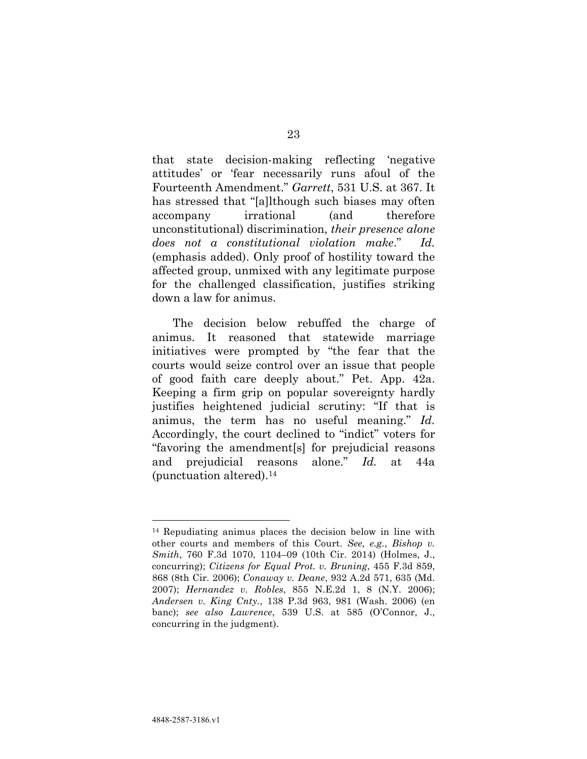that state decision-making reflecting 'negative attitudes' or 'fear necessarily runs afoul of the Fourteenth Amendment." *Garrett*, 531 U.S. at 367. It has stressed that "[a]lthough such biases may often accompany irrational (and therefore unconstitutional) discrimination, *their presence alone does not a constitutional violation make*." *Id.* (emphasis added). Only proof of hostility toward the affected group, unmixed with any legitimate purpose for the challenged classification, justifies striking down a law for animus.

The decision below rebuffed the charge of animus. It reasoned that statewide marriage initiatives were prompted by "the fear that the courts would seize control over an issue that people of good faith care deeply about." Pet. App. 42a. Keeping a firm grip on popular sovereignty hardly justifies heightened judicial scrutiny: "If that is animus, the term has no useful meaning." *Id.* Accordingly, the court declined to "indict" voters for "favoring the amendment[s] for prejudicial reasons and prejudicial reasons alone." *Id.* at 44a (punctuation altered).14

 <sup>14</sup> Repudiating animus places the decision below in line with other courts and members of this Court. *See, e.g.*, *Bishop v. Smith*, 760 F.3d 1070, 1104–09 (10th Cir. 2014) (Holmes, J., concurring); *Citizens for Equal Prot. v. Bruning*, 455 F.3d 859, 868 (8th Cir. 2006); *Conaway v. Deane*, 932 A.2d 571, 635 (Md. 2007); *Hernandez v. Robles*, 855 N.E.2d 1, 8 (N.Y. 2006); *Andersen v. King Cnty.*, 138 P.3d 963, 981 (Wash. 2006) (en banc); *see also Lawrence*, 539 U.S. at 585 (O'Connor, J., concurring in the judgment).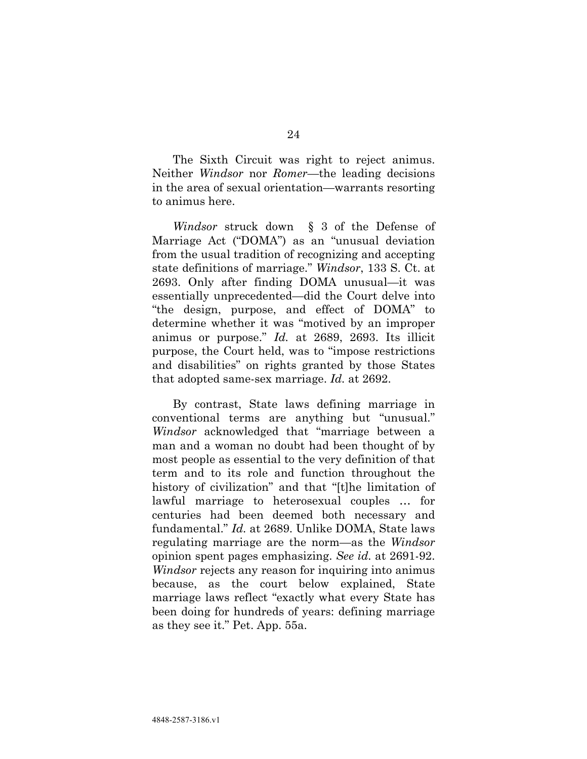The Sixth Circuit was right to reject animus. Neither *Windsor* nor *Romer*—the leading decisions in the area of sexual orientation—warrants resorting to animus here.

*Windsor* struck down § 3 of the Defense of Marriage Act ("DOMA") as an "unusual deviation from the usual tradition of recognizing and accepting state definitions of marriage." *Windsor*, 133 S. Ct. at 2693. Only after finding DOMA unusual—it was essentially unprecedented—did the Court delve into "the design, purpose, and effect of DOMA" to determine whether it was "motived by an improper animus or purpose." *Id.* at 2689, 2693. Its illicit purpose, the Court held, was to "impose restrictions and disabilities" on rights granted by those States that adopted same-sex marriage. *Id.* at 2692.

By contrast, State laws defining marriage in conventional terms are anything but "unusual." *Windsor* acknowledged that "marriage between a man and a woman no doubt had been thought of by most people as essential to the very definition of that term and to its role and function throughout the history of civilization" and that "[t]he limitation of lawful marriage to heterosexual couples … for centuries had been deemed both necessary and fundamental." *Id.* at 2689. Unlike DOMA, State laws regulating marriage are the norm—as the *Windsor* opinion spent pages emphasizing. *See id.* at 2691-92. *Windsor* rejects any reason for inquiring into animus because, as the court below explained, State marriage laws reflect "exactly what every State has been doing for hundreds of years: defining marriage as they see it." Pet. App. 55a.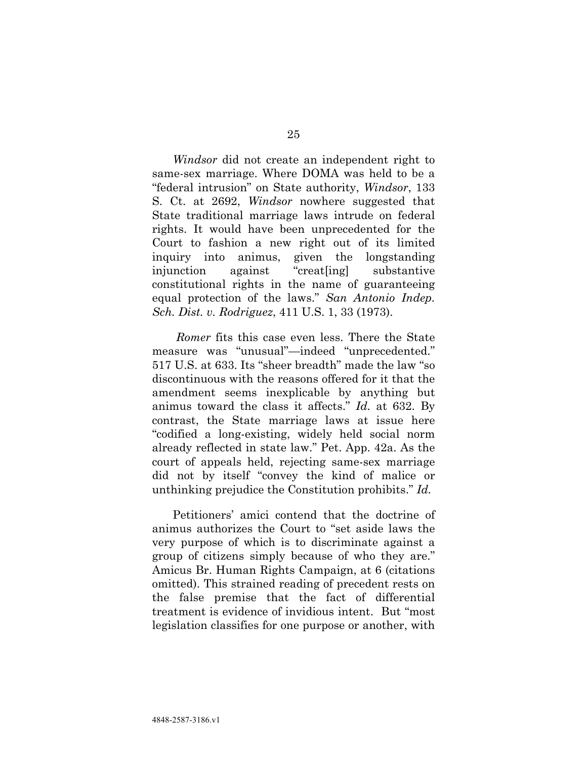*Windsor* did not create an independent right to same-sex marriage. Where DOMA was held to be a "federal intrusion" on State authority, *Windsor*, 133 S. Ct. at 2692, *Windsor* nowhere suggested that State traditional marriage laws intrude on federal rights. It would have been unprecedented for the Court to fashion a new right out of its limited inquiry into animus, given the longstanding injunction against "creat[ing] substantive constitutional rights in the name of guaranteeing equal protection of the laws." *San Antonio Indep. Sch. Dist. v. Rodriguez*, 411 U.S. 1, 33 (1973).

*Romer* fits this case even less. There the State measure was "unusual"—indeed "unprecedented." 517 U.S. at 633. Its "sheer breadth" made the law "so discontinuous with the reasons offered for it that the amendment seems inexplicable by anything but animus toward the class it affects." *Id.* at 632. By contrast, the State marriage laws at issue here "codified a long-existing, widely held social norm already reflected in state law." Pet. App. 42a. As the court of appeals held, rejecting same-sex marriage did not by itself "convey the kind of malice or unthinking prejudice the Constitution prohibits." *Id.*

Petitioners' amici contend that the doctrine of animus authorizes the Court to "set aside laws the very purpose of which is to discriminate against a group of citizens simply because of who they are." Amicus Br. Human Rights Campaign, at 6 (citations omitted). This strained reading of precedent rests on the false premise that the fact of differential treatment is evidence of invidious intent. But "most legislation classifies for one purpose or another, with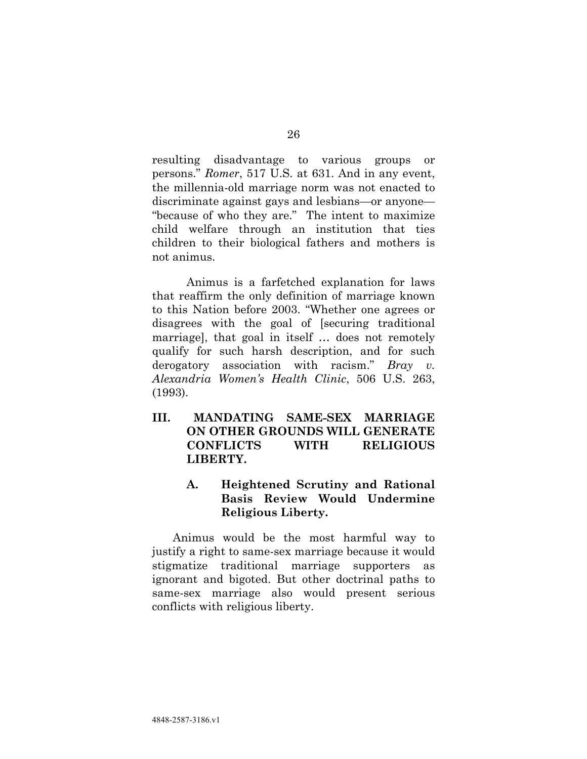resulting disadvantage to various groups or persons." *Romer*, 517 U.S. at 631. And in any event, the millennia-old marriage norm was not enacted to discriminate against gays and lesbians—or anyone— "because of who they are." The intent to maximize child welfare through an institution that ties children to their biological fathers and mothers is not animus.

Animus is a farfetched explanation for laws that reaffirm the only definition of marriage known to this Nation before 2003. "Whether one agrees or disagrees with the goal of [securing traditional marriage], that goal in itself … does not remotely qualify for such harsh description, and for such derogatory association with racism." *Bray v. Alexandria Women's Health Clinic*, 506 U.S. 263, (1993).

**III. MANDATING SAME-SEX MARRIAGE ON OTHER GROUNDS WILL GENERATE CONFLICTS WITH RELIGIOUS LIBERTY.**

## **A. Heightened Scrutiny and Rational Basis Review Would Undermine Religious Liberty.**

Animus would be the most harmful way to justify a right to same-sex marriage because it would stigmatize traditional marriage supporters as ignorant and bigoted. But other doctrinal paths to same-sex marriage also would present serious conflicts with religious liberty.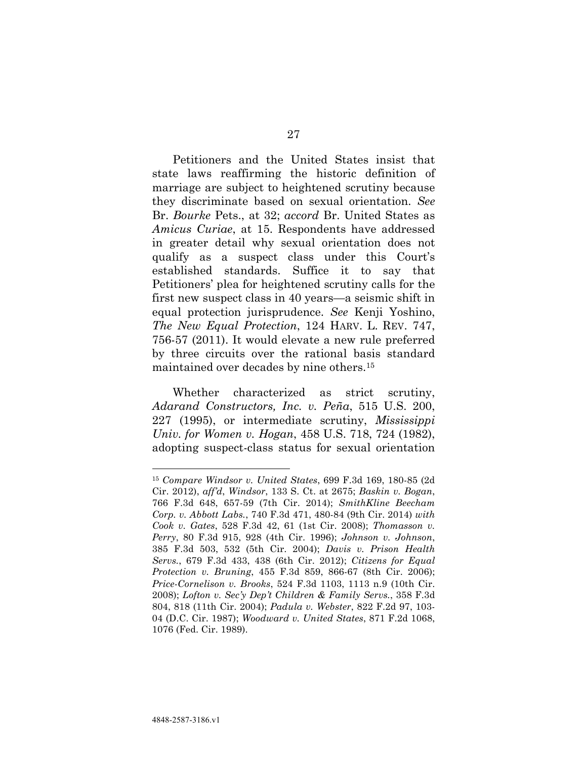Petitioners and the United States insist that state laws reaffirming the historic definition of marriage are subject to heightened scrutiny because they discriminate based on sexual orientation. *See*  Br. *Bourke* Pets., at 32; *accord* Br. United States as *Amicus Curiae*, at 15. Respondents have addressed in greater detail why sexual orientation does not qualify as a suspect class under this Court's established standards. Suffice it to say that Petitioners' plea for heightened scrutiny calls for the first new suspect class in 40 years—a seismic shift in equal protection jurisprudence. *See* Kenji Yoshino, *The New Equal Protection*, 124 HARV. L. REV. 747, 756-57 (2011). It would elevate a new rule preferred by three circuits over the rational basis standard maintained over decades by nine others.15

Whether characterized as strict scrutiny, *Adarand Constructors, Inc. v. Peña*, 515 U.S. 200, 227 (1995), or intermediate scrutiny, *Mississippi Univ. for Women v. Hogan*, 458 U.S. 718, 724 (1982), adopting suspect-class status for sexual orientation

 <sup>15</sup> *Compare Windsor v. United States*, 699 F.3d 169, 180-85 (2d Cir. 2012), *aff'd*, *Windsor*, 133 S. Ct. at 2675; *Baskin v. Bogan*, 766 F.3d 648, 657-59 (7th Cir. 2014); *SmithKline Beecham Corp. v. Abbott Labs.*, 740 F.3d 471, 480-84 (9th Cir. 2014) *with Cook v. Gates*, 528 F.3d 42, 61 (1st Cir. 2008); *Thomasson v. Perry*, 80 F.3d 915, 928 (4th Cir. 1996); *Johnson v. Johnson*, 385 F.3d 503, 532 (5th Cir. 2004); *Davis v. Prison Health Servs.*, 679 F.3d 433, 438 (6th Cir. 2012); *Citizens for Equal Protection v. Bruning*, 455 F.3d 859, 866-67 (8th Cir. 2006); *Price-Cornelison v. Brooks*, 524 F.3d 1103, 1113 n.9 (10th Cir. 2008); *Lofton v. Sec'y Dep't Children & Family Servs.*, 358 F.3d 804, 818 (11th Cir. 2004); *Padula v. Webster*, 822 F.2d 97, 103- 04 (D.C. Cir. 1987); *Woodward v. United States*, 871 F.2d 1068, 1076 (Fed. Cir. 1989).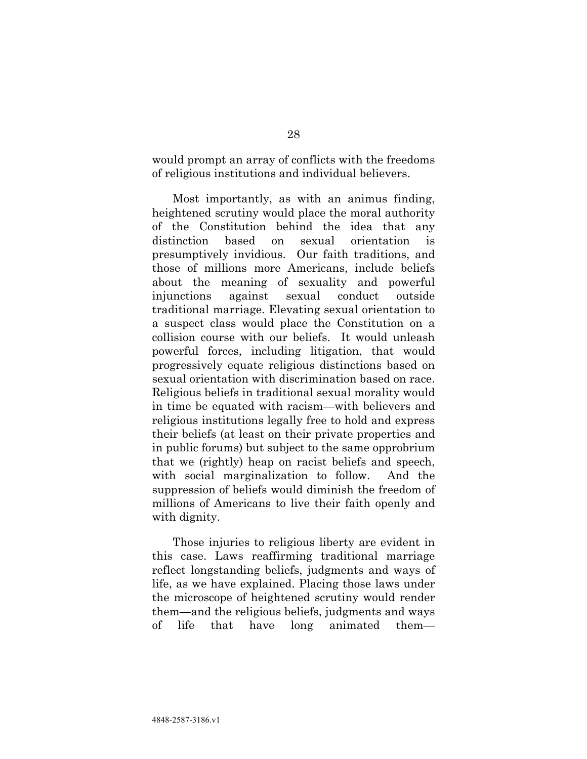would prompt an array of conflicts with the freedoms of religious institutions and individual believers.

Most importantly, as with an animus finding, heightened scrutiny would place the moral authority of the Constitution behind the idea that any distinction based on sexual orientation is presumptively invidious. Our faith traditions, and those of millions more Americans, include beliefs about the meaning of sexuality and powerful injunctions against sexual conduct outside traditional marriage. Elevating sexual orientation to a suspect class would place the Constitution on a collision course with our beliefs. It would unleash powerful forces, including litigation, that would progressively equate religious distinctions based on sexual orientation with discrimination based on race. Religious beliefs in traditional sexual morality would in time be equated with racism—with believers and religious institutions legally free to hold and express their beliefs (at least on their private properties and in public forums) but subject to the same opprobrium that we (rightly) heap on racist beliefs and speech, with social marginalization to follow. And the suppression of beliefs would diminish the freedom of millions of Americans to live their faith openly and with dignity.

Those injuries to religious liberty are evident in this case. Laws reaffirming traditional marriage reflect longstanding beliefs, judgments and ways of life, as we have explained. Placing those laws under the microscope of heightened scrutiny would render them—and the religious beliefs, judgments and ways of life that have long animated them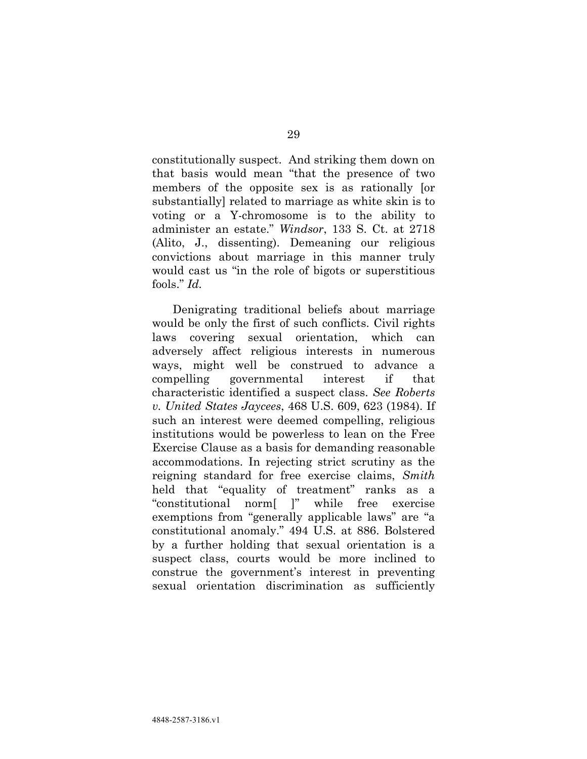constitutionally suspect. And striking them down on that basis would mean "that the presence of two members of the opposite sex is as rationally [or substantially] related to marriage as white skin is to voting or a Y-chromosome is to the ability to administer an estate." *Windsor*, 133 S. Ct. at 2718 (Alito, J., dissenting). Demeaning our religious convictions about marriage in this manner truly would cast us "in the role of bigots or superstitious fools." *Id.*

Denigrating traditional beliefs about marriage would be only the first of such conflicts. Civil rights laws covering sexual orientation, which can adversely affect religious interests in numerous ways, might well be construed to advance a compelling governmental interest if that characteristic identified a suspect class. *See Roberts v. United States Jaycees*, 468 U.S. 609, 623 (1984). If such an interest were deemed compelling, religious institutions would be powerless to lean on the Free Exercise Clause as a basis for demanding reasonable accommodations. In rejecting strict scrutiny as the reigning standard for free exercise claims, *Smith* held that "equality of treatment" ranks as a "constitutional norm[ ]" while free exercise exemptions from "generally applicable laws" are "a constitutional anomaly." 494 U.S. at 886. Bolstered by a further holding that sexual orientation is a suspect class, courts would be more inclined to construe the government's interest in preventing sexual orientation discrimination as sufficiently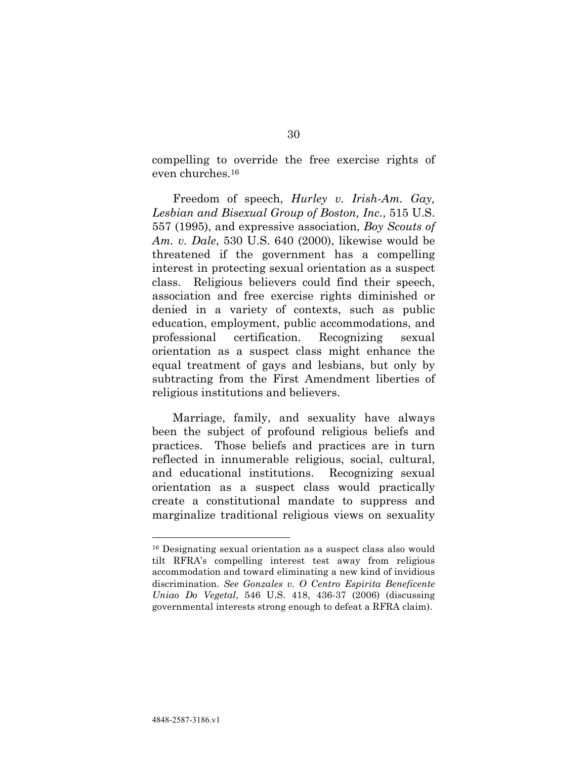compelling to override the free exercise rights of even churches.16

Freedom of speech, *Hurley v. Irish-Am. Gay, Lesbian and Bisexual Group of Boston, Inc.*, 515 U.S. 557 (1995), and expressive association, *Boy Scouts of Am. v. Dale*, 530 U.S. 640 (2000), likewise would be threatened if the government has a compelling interest in protecting sexual orientation as a suspect class. Religious believers could find their speech, association and free exercise rights diminished or denied in a variety of contexts, such as public education, employment, public accommodations, and professional certification. Recognizing sexual orientation as a suspect class might enhance the equal treatment of gays and lesbians, but only by subtracting from the First Amendment liberties of religious institutions and believers.

Marriage, family, and sexuality have always been the subject of profound religious beliefs and practices. Those beliefs and practices are in turn reflected in innumerable religious, social, cultural, and educational institutions. Recognizing sexual orientation as a suspect class would practically create a constitutional mandate to suppress and marginalize traditional religious views on sexuality

 <sup>16</sup> Designating sexual orientation as a suspect class also would tilt RFRA's compelling interest test away from religious accommodation and toward eliminating a new kind of invidious discrimination. *See Gonzales v. O Centro Espirita Beneficente Uniao Do Vegetal*, 546 U.S. 418, 436-37 (2006) (discussing governmental interests strong enough to defeat a RFRA claim).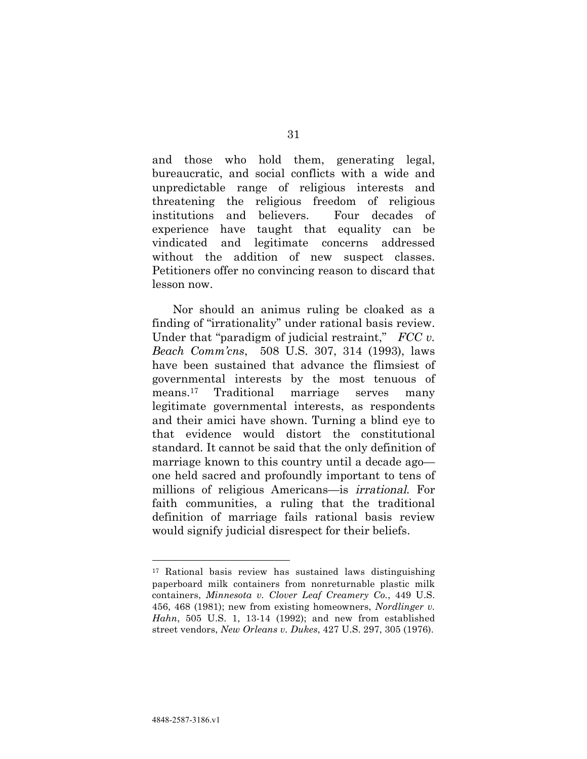and those who hold them, generating legal, bureaucratic, and social conflicts with a wide and unpredictable range of religious interests and threatening the religious freedom of religious institutions and believers. Four decades of experience have taught that equality can be vindicated and legitimate concerns addressed without the addition of new suspect classes. Petitioners offer no convincing reason to discard that lesson now.

Nor should an animus ruling be cloaked as a finding of "irrationality" under rational basis review. Under that "paradigm of judicial restraint," *FCC v. Beach Comm'cns*, 508 U.S. 307, 314 (1993), laws have been sustained that advance the flimsiest of governmental interests by the most tenuous of means.17 Traditional marriage serves many legitimate governmental interests, as respondents and their amici have shown. Turning a blind eye to that evidence would distort the constitutional standard. It cannot be said that the only definition of marriage known to this country until a decade ago one held sacred and profoundly important to tens of millions of religious Americans—is irrational. For faith communities, a ruling that the traditional definition of marriage fails rational basis review would signify judicial disrespect for their beliefs.

 <sup>17</sup> Rational basis review has sustained laws distinguishing paperboard milk containers from nonreturnable plastic milk containers, *Minnesota v. Clover Leaf Creamery Co.*, 449 U.S. 456, 468 (1981); new from existing homeowners, *Nordlinger v. Hahn*, 505 U.S. 1, 13-14 (1992); and new from established street vendors, *New Orleans v. Dukes*, 427 U.S. 297, 305 (1976).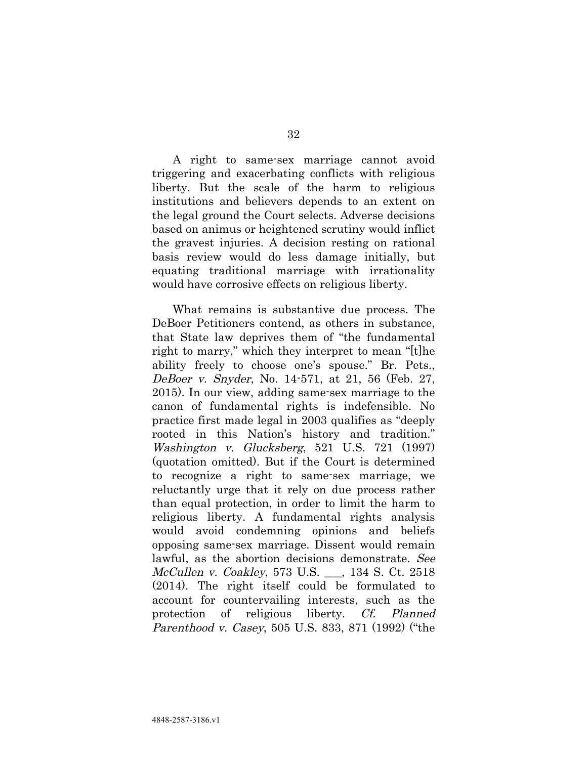A right to same-sex marriage cannot avoid triggering and exacerbating conflicts with religious liberty. But the scale of the harm to religious institutions and believers depends to an extent on the legal ground the Court selects. Adverse decisions based on animus or heightened scrutiny would inflict the gravest injuries. A decision resting on rational basis review would do less damage initially, but equating traditional marriage with irrationality would have corrosive effects on religious liberty.

What remains is substantive due process. The DeBoer Petitioners contend, as others in substance, that State law deprives them of "the fundamental right to marry," which they interpret to mean "[t]he ability freely to choose one's spouse." Br. Pets., DeBoer v. Snyder, No. 14-571, at 21, 56 (Feb. 27, 2015). In our view, adding same-sex marriage to the canon of fundamental rights is indefensible. No practice first made legal in 2003 qualifies as "deeply rooted in this Nation's history and tradition." Washington v. Glucksberg, 521 U.S. 721 (1997) (quotation omitted). But if the Court is determined to recognize a right to same-sex marriage, we reluctantly urge that it rely on due process rather than equal protection, in order to limit the harm to religious liberty. A fundamental rights analysis would avoid condemning opinions and beliefs opposing same-sex marriage. Dissent would remain lawful, as the abortion decisions demonstrate. See McCullen v. Coakley, 573 U.S. \_\_\_, 134 S. Ct. 2518 (2014). The right itself could be formulated to account for countervailing interests, such as the protection of religious liberty. Cf. Planned Parenthood v. Casey, 505 U.S. 833, 871 (1992) ("the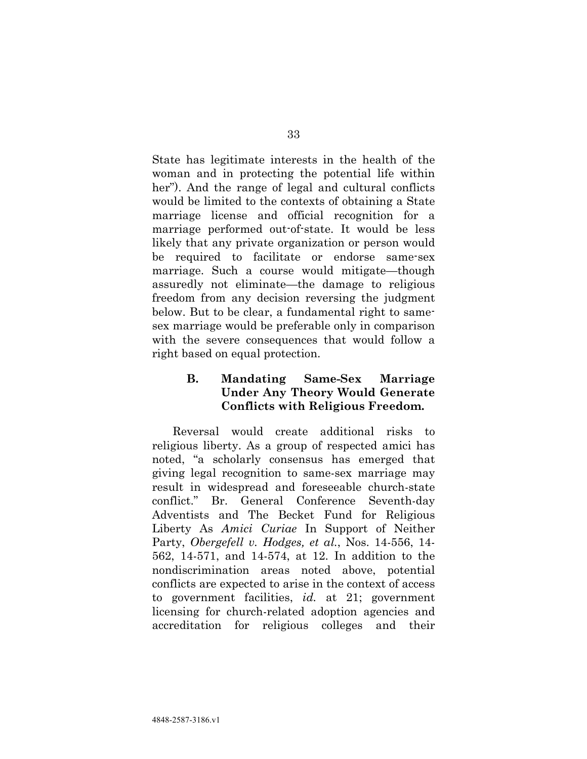State has legitimate interests in the health of the woman and in protecting the potential life within her"). And the range of legal and cultural conflicts would be limited to the contexts of obtaining a State marriage license and official recognition for a marriage performed out-of-state. It would be less likely that any private organization or person would be required to facilitate or endorse same-sex marriage. Such a course would mitigate—though assuredly not eliminate—the damage to religious freedom from any decision reversing the judgment below. But to be clear, a fundamental right to samesex marriage would be preferable only in comparison with the severe consequences that would follow a right based on equal protection.

#### **B. Mandating Same-Sex Marriage Under Any Theory Would Generate Conflicts with Religious Freedom.**

Reversal would create additional risks to religious liberty. As a group of respected amici has noted, "a scholarly consensus has emerged that giving legal recognition to same-sex marriage may result in widespread and foreseeable church-state conflict." Br. General Conference Seventh-day Adventists and The Becket Fund for Religious Liberty As *Amici Curiae* In Support of Neither Party, *Obergefell v. Hodges, et al.*, Nos. 14-556, 14- 562, 14-571, and 14-574, at 12. In addition to the nondiscrimination areas noted above, potential conflicts are expected to arise in the context of access to government facilities, *id.* at 21; government licensing for church-related adoption agencies and accreditation for religious colleges and their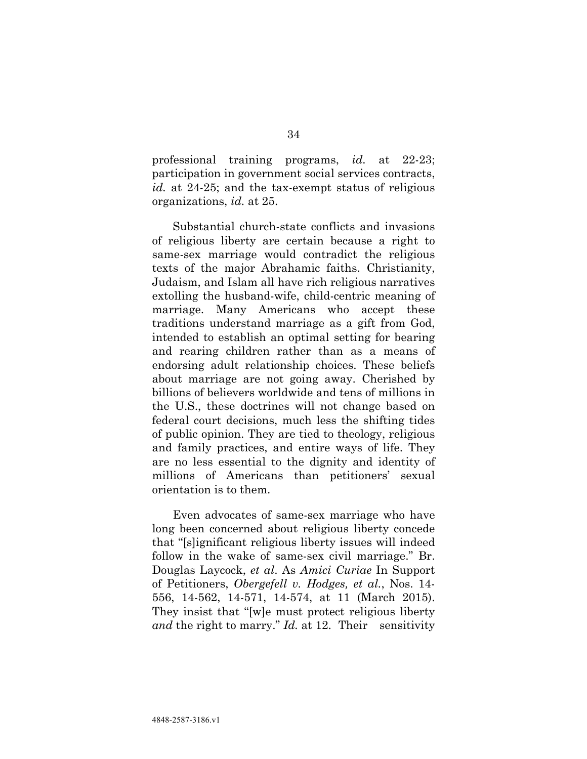professional training programs, *id.* at 22-23; participation in government social services contracts, *id.* at 24-25; and the tax-exempt status of religious organizations, *id.* at 25.

Substantial church-state conflicts and invasions of religious liberty are certain because a right to same-sex marriage would contradict the religious texts of the major Abrahamic faiths. Christianity, Judaism, and Islam all have rich religious narratives extolling the husband-wife, child-centric meaning of marriage. Many Americans who accept these traditions understand marriage as a gift from God, intended to establish an optimal setting for bearing and rearing children rather than as a means of endorsing adult relationship choices. These beliefs about marriage are not going away. Cherished by billions of believers worldwide and tens of millions in the U.S., these doctrines will not change based on federal court decisions, much less the shifting tides of public opinion. They are tied to theology, religious and family practices, and entire ways of life. They are no less essential to the dignity and identity of millions of Americans than petitioners' sexual orientation is to them.

Even advocates of same-sex marriage who have long been concerned about religious liberty concede that "[s]ignificant religious liberty issues will indeed follow in the wake of same-sex civil marriage." Br. Douglas Laycock, *et al*. As *Amici Curiae* In Support of Petitioners, *Obergefell v. Hodges, et al.*, Nos. 14- 556, 14-562, 14-571, 14-574, at 11 (March 2015). They insist that "[w]e must protect religious liberty *and* the right to marry." *Id.* at 12. Their sensitivity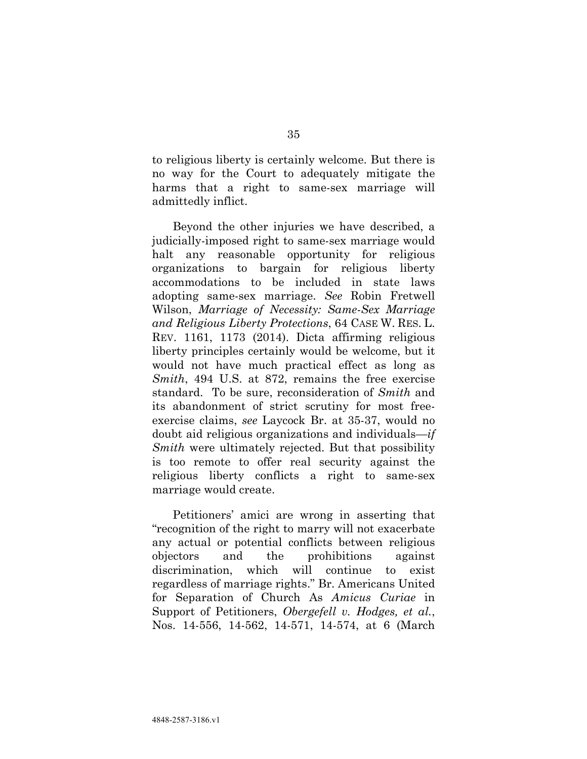to religious liberty is certainly welcome. But there is no way for the Court to adequately mitigate the harms that a right to same-sex marriage will admittedly inflict.

Beyond the other injuries we have described, a judicially-imposed right to same-sex marriage would halt any reasonable opportunity for religious organizations to bargain for religious liberty accommodations to be included in state laws adopting same-sex marriage. *See* Robin Fretwell Wilson, *Marriage of Necessity: Same-Sex Marriage and Religious Liberty Protections*, 64 CASE W. RES. L. REV. 1161, 1173 (2014). Dicta affirming religious liberty principles certainly would be welcome, but it would not have much practical effect as long as *Smith*, 494 U.S. at 872, remains the free exercise standard. To be sure, reconsideration of *Smith* and its abandonment of strict scrutiny for most freeexercise claims, *see* Laycock Br. at 35-37, would no doubt aid religious organizations and individuals—*if Smith* were ultimately rejected. But that possibility is too remote to offer real security against the religious liberty conflicts a right to same-sex marriage would create.

Petitioners' amici are wrong in asserting that "recognition of the right to marry will not exacerbate any actual or potential conflicts between religious objectors and the prohibitions against discrimination, which will continue to exist regardless of marriage rights." Br. Americans United for Separation of Church As *Amicus Curiae* in Support of Petitioners, *Obergefell v. Hodges, et al.*, Nos. 14-556, 14-562, 14-571, 14-574, at 6 (March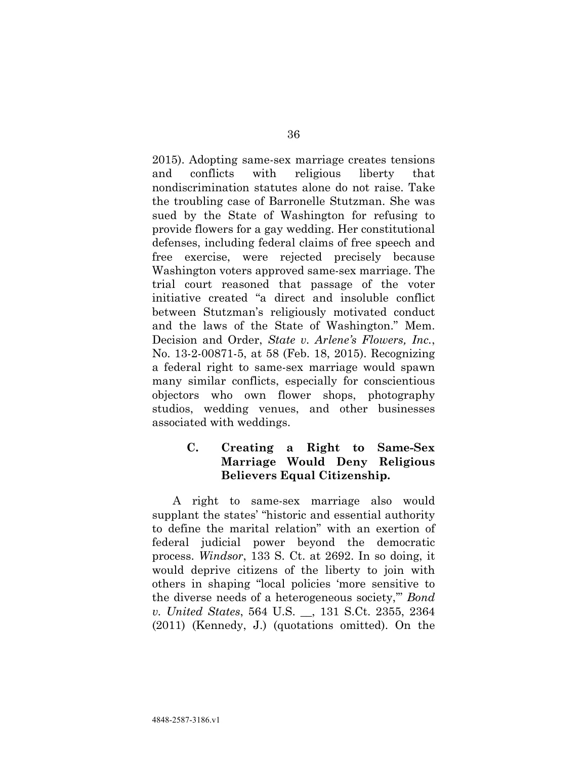2015). Adopting same-sex marriage creates tensions and conflicts with religious liberty that nondiscrimination statutes alone do not raise. Take the troubling case of Barronelle Stutzman. She was sued by the State of Washington for refusing to provide flowers for a gay wedding. Her constitutional defenses, including federal claims of free speech and free exercise, were rejected precisely because Washington voters approved same-sex marriage. The trial court reasoned that passage of the voter initiative created "a direct and insoluble conflict between Stutzman's religiously motivated conduct and the laws of the State of Washington." Mem. Decision and Order, *State v. Arlene's Flowers, Inc.*, No. 13-2-00871-5, at 58 (Feb. 18, 2015). Recognizing a federal right to same-sex marriage would spawn many similar conflicts, especially for conscientious objectors who own flower shops, photography studios, wedding venues, and other businesses associated with weddings.

## **C. Creating a Right to Same-Sex Marriage Would Deny Religious Believers Equal Citizenship.**

A right to same-sex marriage also would supplant the states' "historic and essential authority to define the marital relation" with an exertion of federal judicial power beyond the democratic process. *Windsor*, 133 S. Ct. at 2692. In so doing, it would deprive citizens of the liberty to join with others in shaping "local policies 'more sensitive to the diverse needs of a heterogeneous society,'" *Bond v. United States*, 564 U.S. \_\_, 131 S.Ct. 2355, 2364 (2011) (Kennedy, J.) (quotations omitted). On the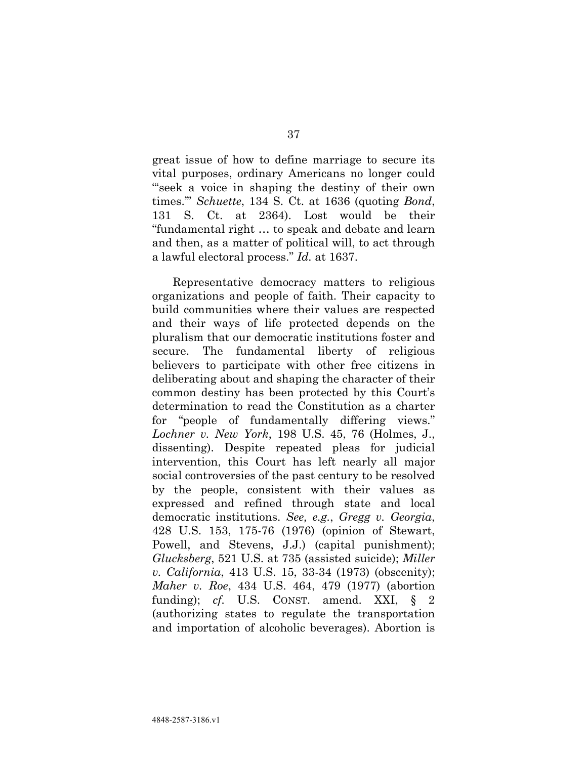great issue of how to define marriage to secure its vital purposes, ordinary Americans no longer could "'seek a voice in shaping the destiny of their own times.'" *Schuette*, 134 S. Ct. at 1636 (quoting *Bond*, 131 S. Ct. at 2364). Lost would be their "fundamental right … to speak and debate and learn and then, as a matter of political will, to act through a lawful electoral process." *Id.* at 1637.

Representative democracy matters to religious organizations and people of faith. Their capacity to build communities where their values are respected and their ways of life protected depends on the pluralism that our democratic institutions foster and secure. The fundamental liberty of religious believers to participate with other free citizens in deliberating about and shaping the character of their common destiny has been protected by this Court's determination to read the Constitution as a charter for "people of fundamentally differing views." *Lochner v. New York*, 198 U.S. 45, 76 (Holmes, J., dissenting). Despite repeated pleas for judicial intervention, this Court has left nearly all major social controversies of the past century to be resolved by the people, consistent with their values as expressed and refined through state and local democratic institutions. *See, e.g.*, *Gregg v. Georgia*, 428 U.S. 153, 175-76 (1976) (opinion of Stewart, Powell, and Stevens, J.J.) (capital punishment); *Glucksberg*, 521 U.S. at 735 (assisted suicide); *Miller v. California*, 413 U.S. 15, 33-34 (1973) (obscenity); *Maher v. Roe*, 434 U.S. 464, 479 (1977) (abortion funding); *cf.* U.S. CONST. amend. XXI, § 2 (authorizing states to regulate the transportation and importation of alcoholic beverages). Abortion is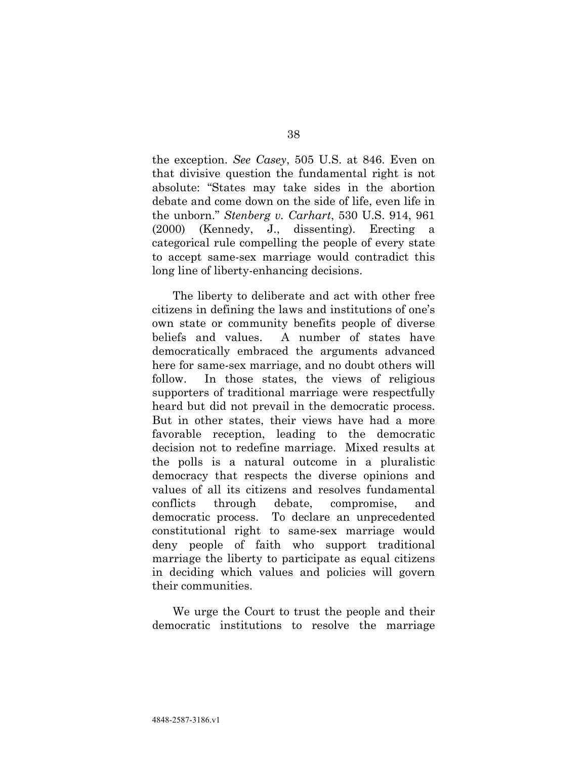the exception. *See Casey*, 505 U.S. at 846. Even on that divisive question the fundamental right is not absolute: "States may take sides in the abortion debate and come down on the side of life, even life in the unborn." *Stenberg v. Carhart*, 530 U.S. 914, 961 (2000) (Kennedy, J., dissenting). Erecting a categorical rule compelling the people of every state to accept same-sex marriage would contradict this long line of liberty-enhancing decisions.

The liberty to deliberate and act with other free citizens in defining the laws and institutions of one's own state or community benefits people of diverse beliefs and values. A number of states have democratically embraced the arguments advanced here for same-sex marriage, and no doubt others will follow. In those states, the views of religious supporters of traditional marriage were respectfully heard but did not prevail in the democratic process. But in other states, their views have had a more favorable reception, leading to the democratic decision not to redefine marriage. Mixed results at the polls is a natural outcome in a pluralistic democracy that respects the diverse opinions and values of all its citizens and resolves fundamental conflicts through debate, compromise, and democratic process. To declare an unprecedented constitutional right to same-sex marriage would deny people of faith who support traditional marriage the liberty to participate as equal citizens in deciding which values and policies will govern their communities.

We urge the Court to trust the people and their democratic institutions to resolve the marriage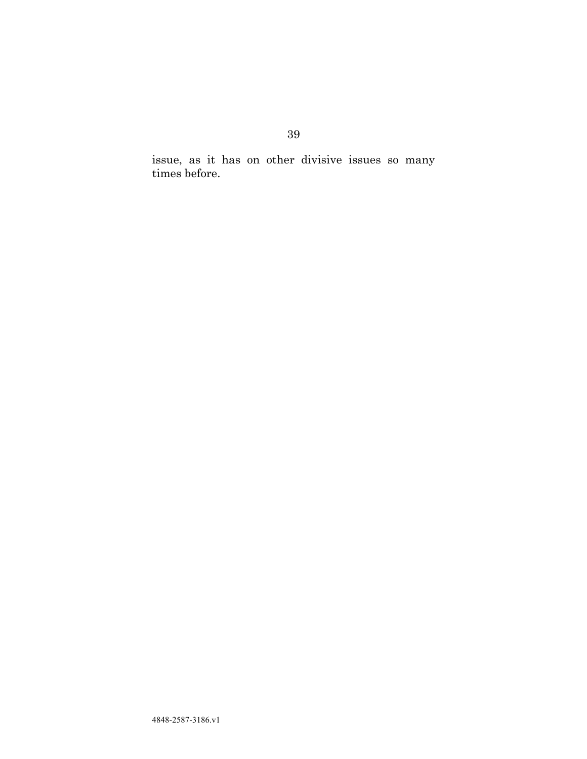issue, as it has on other divisive issues so many times before.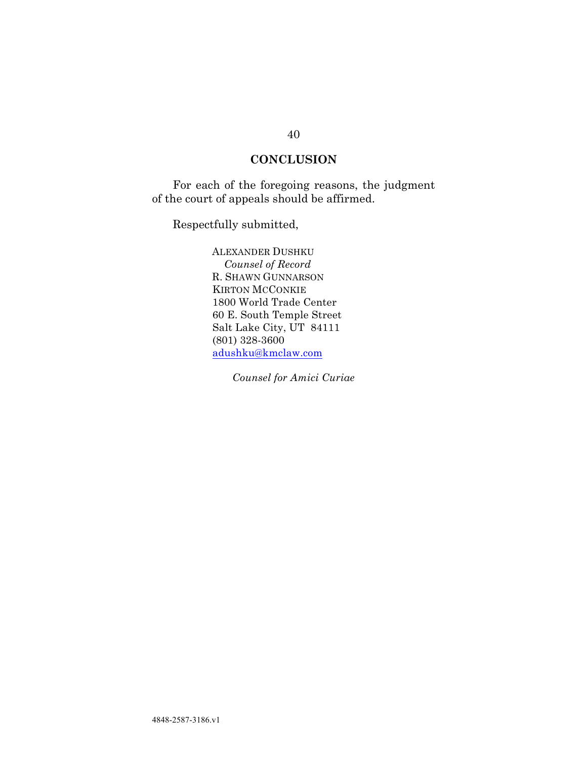# **CONCLUSION**

<span id="page-44-0"></span>For each of the foregoing reasons, the judgment of the court of appeals should be affirmed.

Respectfully submitted,

ALEXANDER DUSHKU *Counsel of Record* R. SHAWN GUNNARSON KIRTON MCCONKIE 1800 World Trade Center 60 E. South Temple Street Salt Lake City, UT 84111 (801) 328-3600 adushku@kmclaw.com

*Counsel for Amici Curiae*

40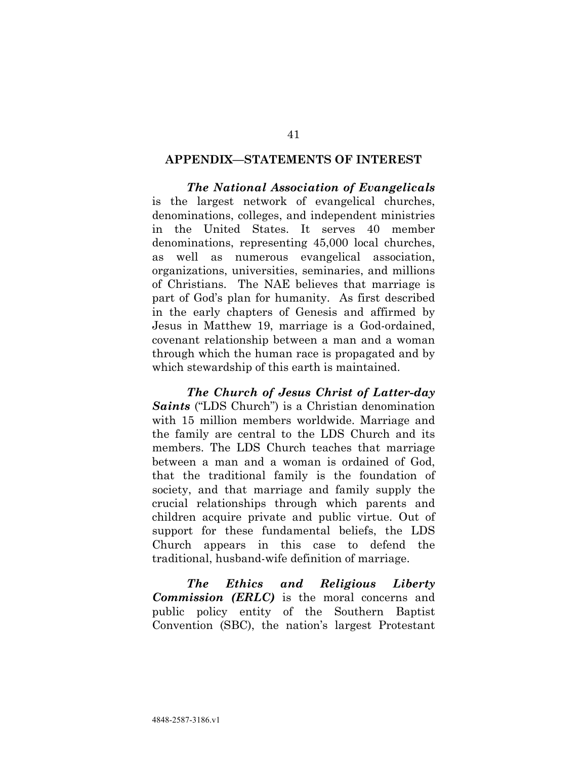#### **APPENDIX—STATEMENTS OF INTEREST**

*The National Association of Evangelicals* is the largest network of evangelical churches, denominations, colleges, and independent ministries in the United States. It serves 40 member denominations, representing 45,000 local churches, as well as numerous evangelical association, organizations, universities, seminaries, and millions of Christians. The NAE believes that marriage is part of God's plan for humanity. As first described in the early chapters of Genesis and affirmed by Jesus in Matthew 19, marriage is a God-ordained, covenant relationship between a man and a woman through which the human race is propagated and by which stewardship of this earth is maintained.

*The Church of Jesus Christ of Latter-day Saints* ("LDS Church") is a Christian denomination with 15 million members worldwide. Marriage and the family are central to the LDS Church and its members. The LDS Church teaches that marriage between a man and a woman is ordained of God, that the traditional family is the foundation of society, and that marriage and family supply the crucial relationships through which parents and children acquire private and public virtue. Out of support for these fundamental beliefs, the LDS Church appears in this case to defend the traditional, husband-wife definition of marriage.

*The Ethics and Religious Liberty Commission (ERLC)* is the moral concerns and public policy entity of the Southern Baptist Convention (SBC), the nation's largest Protestant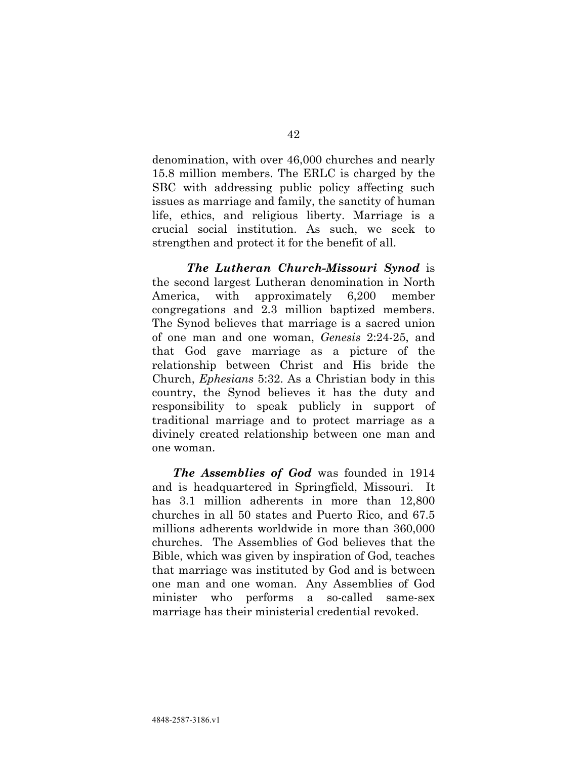denomination, with over 46,000 churches and nearly 15.8 million members. The ERLC is charged by the SBC with addressing public policy affecting such issues as marriage and family, the sanctity of human life, ethics, and religious liberty. Marriage is a crucial social institution. As such, we seek to strengthen and protect it for the benefit of all.

*The Lutheran Church-Missouri Synod* is the second largest Lutheran denomination in North America, with approximately 6,200 member congregations and 2.3 million baptized members. The Synod believes that marriage is a sacred union of one man and one woman, *Genesis* 2:24-25, and that God gave marriage as a picture of the relationship between Christ and His bride the Church, *Ephesians* 5:32. As a Christian body in this country, the Synod believes it has the duty and responsibility to speak publicly in support of traditional marriage and to protect marriage as a divinely created relationship between one man and one woman.

*The Assemblies of God* was founded in 1914 and is headquartered in Springfield, Missouri. It has 3.1 million adherents in more than 12,800 churches in all 50 states and Puerto Rico, and 67.5 millions adherents worldwide in more than 360,000 churches. The Assemblies of God believes that the Bible, which was given by inspiration of God, teaches that marriage was instituted by God and is between one man and one woman. Any Assemblies of God minister who performs a so-called same-sex marriage has their ministerial credential revoked.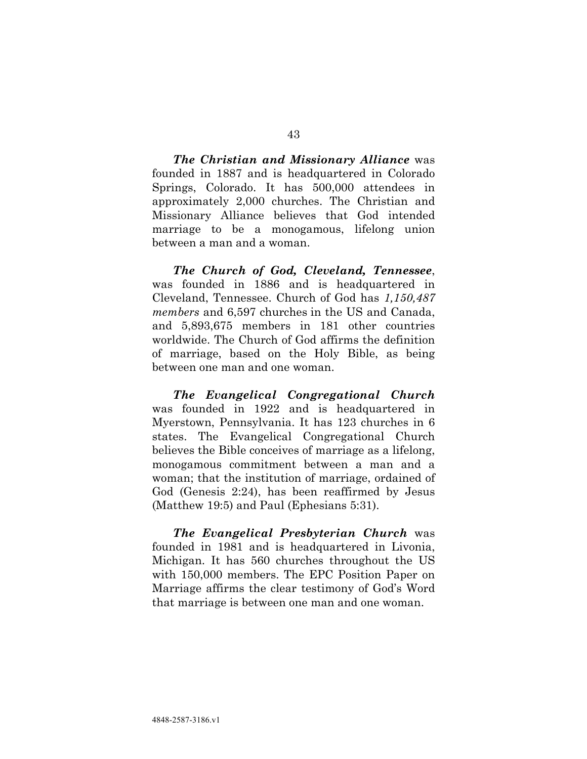*The Christian and Missionary Alliance* was founded in 1887 and is headquartered in Colorado Springs, Colorado. It has 500,000 attendees in approximately 2,000 churches. The Christian and Missionary Alliance believes that God intended marriage to be a monogamous, lifelong union between a man and a woman.

*The Church of God, Cleveland, Tennessee*, was founded in 1886 and is headquartered in Cleveland, Tennessee. Church of God has *1,150,487 members* and 6,597 churches in the US and Canada, and 5,893,675 members in 181 other countries worldwide. The Church of God affirms the definition of marriage, based on the Holy Bible, as being between one man and one woman.

*The Evangelical Congregational Church* was founded in 1922 and is headquartered in Myerstown, Pennsylvania. It has 123 churches in 6 states. The Evangelical Congregational Church believes the Bible conceives of marriage as a lifelong, monogamous commitment between a man and a woman; that the institution of marriage, ordained of God (Genesis 2:24), has been reaffirmed by Jesus (Matthew 19:5) and Paul (Ephesians 5:31).

*The Evangelical Presbyterian Church* was founded in 1981 and is headquartered in Livonia, Michigan. It has 560 churches throughout the US with 150,000 members. The EPC Position Paper on Marriage affirms the clear testimony of God's Word that marriage is between one man and one woman.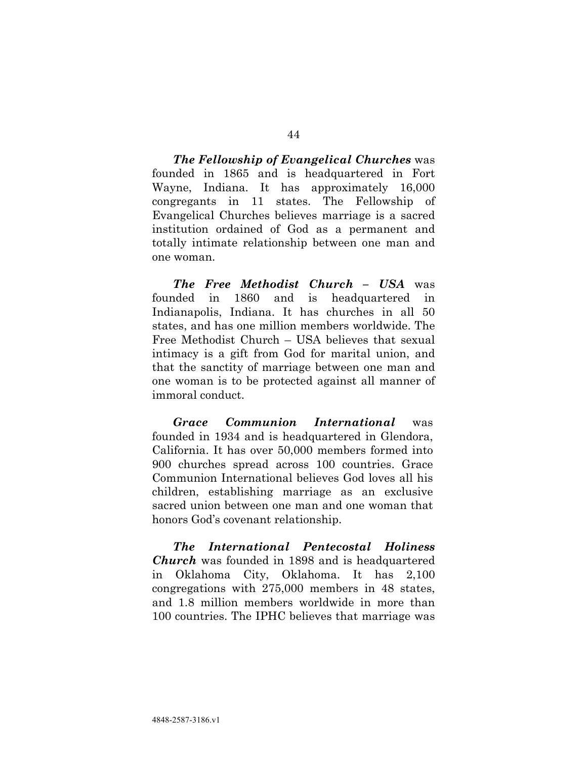*The Fellowship of Evangelical Churches* was founded in 1865 and is headquartered in Fort Wayne, Indiana. It has approximately 16,000 congregants in 11 states. The Fellowship of Evangelical Churches believes marriage is a sacred institution ordained of God as a permanent and totally intimate relationship between one man and one woman.

*The Free Methodist Church – USA* was founded in 1860 and is headquartered in Indianapolis, Indiana. It has churches in all 50 states, and has one million members worldwide. The Free Methodist Church – USA believes that sexual intimacy is a gift from God for marital union, and that the sanctity of marriage between one man and one woman is to be protected against all manner of immoral conduct.

*Grace Communion International* was founded in 1934 and is headquartered in Glendora, California. It has over 50,000 members formed into 900 churches spread across 100 countries. Grace Communion International believes God loves all his children, establishing marriage as an exclusive sacred union between one man and one woman that honors God's covenant relationship.

*The International Pentecostal Holiness Church* was founded in 1898 and is headquartered in Oklahoma City, Oklahoma. It has 2,100 congregations with 275,000 members in 48 states, and 1.8 million members worldwide in more than 100 countries. The IPHC believes that marriage was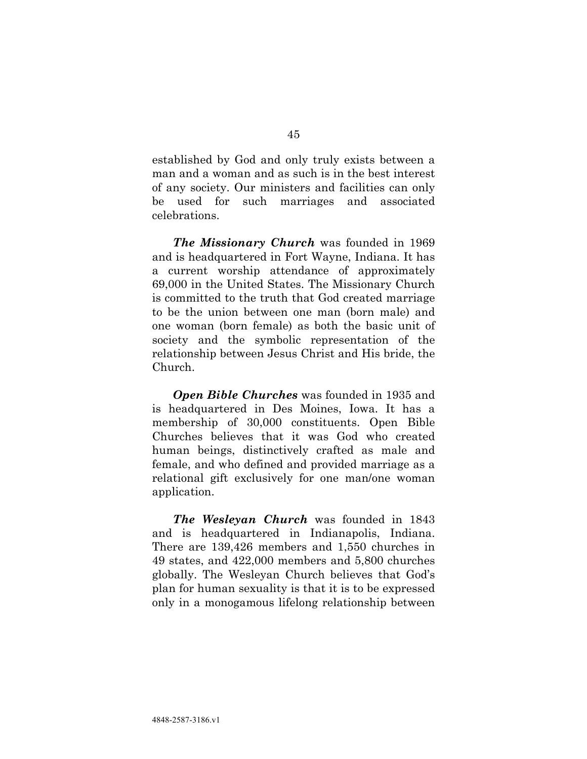established by God and only truly exists between a man and a woman and as such is in the best interest of any society. Our ministers and facilities can only be used for such marriages and associated celebrations.

*The Missionary Church* was founded in 1969 and is headquartered in Fort Wayne, Indiana. It has a current worship attendance of approximately 69,000 in the United States. The Missionary Church is committed to the truth that God created marriage to be the union between one man (born male) and one woman (born female) as both the basic unit of society and the symbolic representation of the relationship between Jesus Christ and His bride, the Church.

*Open Bible Churches* was founded in 1935 and is headquartered in Des Moines, Iowa. It has a membership of 30,000 constituents. Open Bible Churches believes that it was God who created human beings, distinctively crafted as male and female, and who defined and provided marriage as a relational gift exclusively for one man/one woman application.

*The Wesleyan Church* was founded in 1843 and is headquartered in Indianapolis, Indiana. There are 139,426 members and 1,550 churches in 49 states, and 422,000 members and 5,800 churches globally. The Wesleyan Church believes that God's plan for human sexuality is that it is to be expressed only in a monogamous lifelong relationship between